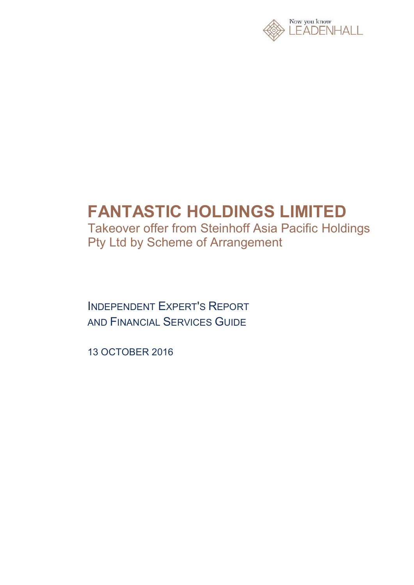

# **FANTASTIC HOLDINGS LIMITED**

Takeover offer from Steinhoff Asia Pacific Holdings Pty Ltd by Scheme of Arrangement

INDEPENDENT EXPERT'S REPORT AND FINANCIAL SERVICES GUIDE

13 OCTOBER 2016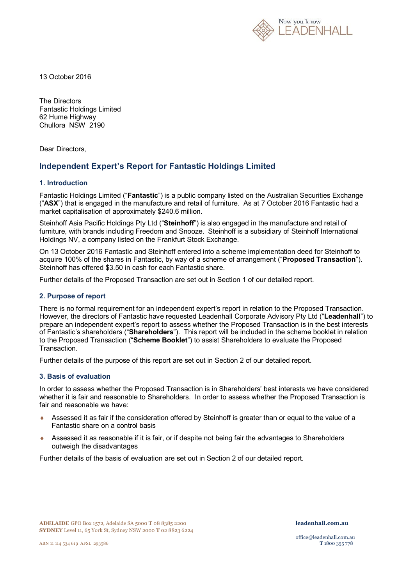

13 October 2016

The Directors Fantastic Holdings Limited 62 Hume Highway Chullora NSW 2190

Dear Directors,

### **Independent Expert's Report for Fantastic Holdings Limited**

#### **1. Introduction**

Fantastic Holdings Limited ("**Fantastic**") is a public company listed on the Australian Securities Exchange ("**ASX**") that is engaged in the manufacture and retail of furniture. As at 7 October 2016 Fantastic had a market capitalisation of approximately \$240.6 million.

Steinhoff Asia Pacific Holdings Pty Ltd ("**Steinhoff**") is also engaged in the manufacture and retail of furniture, with brands including Freedom and Snooze. Steinhoff is a subsidiary of Steinhoff International Holdings NV, a company listed on the Frankfurt Stock Exchange.

On 13 October 2016 Fantastic and Steinhoff entered into a scheme implementation deed for Steinhoff to acquire 100% of the shares in Fantastic, by way of a scheme of arrangement ("**Proposed Transaction**"). Steinhoff has offered \$3.50 in cash for each Fantastic share.

Further details of the Proposed Transaction are set out in Section 1 of our detailed report.

#### **2. Purpose of report**

There is no formal requirement for an independent expert's report in relation to the Proposed Transaction. However, the directors of Fantastic have requested Leadenhall Corporate Advisory Pty Ltd ("**Leadenhall**") to prepare an independent expert's report to assess whether the Proposed Transaction is in the best interests of Fantastic's shareholders ("**Shareholders**"). This report will be included in the scheme booklet in relation to the Proposed Transaction ("**Scheme Booklet**") to assist Shareholders to evaluate the Proposed Transaction.

Further details of the purpose of this report are set out in Section 2 of our detailed report.

#### **3. Basis of evaluation**

In order to assess whether the Proposed Transaction is in Shareholders' best interests we have considered whether it is fair and reasonable to Shareholders. In order to assess whether the Proposed Transaction is fair and reasonable we have:

- Assessed it as fair if the consideration offered by Steinhoff is greater than or equal to the value of a Fantastic share on a control basis
- Assessed it as reasonable if it is fair, or if despite not being fair the advantages to Shareholders outweigh the disadvantages

Further details of the basis of evaluation are set out in Section 2 of our detailed report.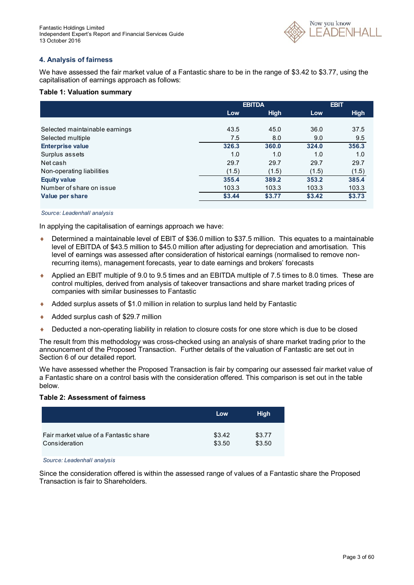

#### **4. Analysis of fairness**

We have assessed the fair market value of a Fantastic share to be in the range of \$3.42 to \$3.77, using the capitalisation of earnings approach as follows:

#### **Table 1: Valuation summary**

|                                | <b>EBITDA</b> |             | <b>EBIT</b> |             |
|--------------------------------|---------------|-------------|-------------|-------------|
|                                | Low           | <b>High</b> | Low         | <b>High</b> |
|                                |               |             |             |             |
| Selected maintainable earnings | 43.5          | 45.0        | 36.0        | 37.5        |
| Selected multiple              | 7.5           | 8.0         | 9.0         | 9.5         |
| <b>Enterprise value</b>        | 326.3         | 360.0       | 324.0       | 356.3       |
| Surplus assets                 | 1.0           | 1.0         | 1.0         | 1.0         |
| Net cash                       | 29.7          | 29.7        | 29.7        | 29.7        |
| Non-operating liabilities      | (1.5)         | (1.5)       | (1.5)       | (1.5)       |
| <b>Equity value</b>            | 355.4         | 389.2       | 353.2       | 385.4       |
| Number of share on issue       | 103.3         | 103.3       | 103.3       | 103.3       |
| Value per share                | \$3.44        | \$3.77      | \$3.42      | \$3.73      |

#### *Source: Leadenhall analysis*

In applying the capitalisation of earnings approach we have:

- Determined a maintainable level of EBIT of \$36.0 million to \$37.5 million. This equates to a maintainable level of EBITDA of \$43.5 million to \$45.0 million after adjusting for depreciation and amortisation. This level of earnings was assessed after consideration of historical earnings (normalised to remove nonrecurring items), management forecasts, year to date earnings and brokers' forecasts
- Applied an EBIT multiple of 9.0 to 9.5 times and an EBITDA multiple of 7.5 times to 8.0 times. These are control multiples, derived from analysis of takeover transactions and share market trading prices of companies with similar businesses to Fantastic
- Added surplus assets of \$1.0 million in relation to surplus land held by Fantastic
- ◆ Added surplus cash of \$29.7 million
- ◆ Deducted a non-operating liability in relation to closure costs for one store which is due to be closed

The result from this methodology was cross-checked using an analysis of share market trading prior to the announcement of the Proposed Transaction. Further details of the valuation of Fantastic are set out in Section 6 of our detailed report.

We have assessed whether the Proposed Transaction is fair by comparing our assessed fair market value of a Fantastic share on a control basis with the consideration offered. This comparison is set out in the table below.

#### **Table 2: Assessment of fairness**

|                                        | Low    | <b>High</b> |
|----------------------------------------|--------|-------------|
| Fair market value of a Fantastic share | \$3.42 | \$3.77      |
| Consideration                          | \$3.50 | \$3.50      |

*Source: Leadenhall analysis*

Since the consideration offered is within the assessed range of values of a Fantastic share the Proposed Transaction is fair to Shareholders.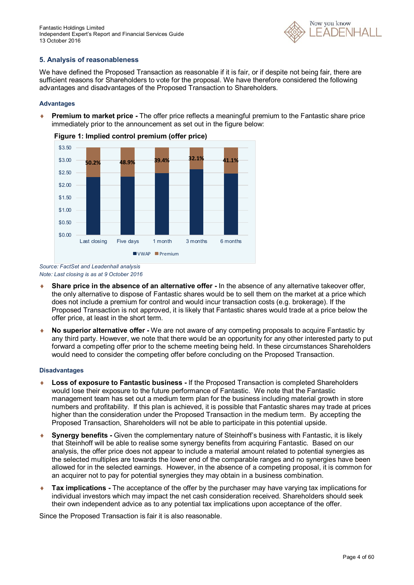Fantastic Holdings Limited Independent Expert's Report and Financial Services Guide 13 October 2016



#### **5. Analysis of reasonableness**

We have defined the Proposed Transaction as reasonable if it is fair, or if despite not being fair, there are sufficient reasons for Shareholders to vote for the proposal. We have therefore considered the following advantages and disadvantages of the Proposed Transaction to Shareholders.

#### **Advantages**

 **Premium to market price -** The offer price reflects a meaningful premium to the Fantastic share price immediately prior to the announcement as set out in the figure below:



**Figure 1: Implied control premium (offer price)**

*Source: FactSet and Leadenhall analysis Note: Last closing is as at 9 October 2016*

- **Share price in the absence of an alternative offer -** In the absence of any alternative takeover offer, the only alternative to dispose of Fantastic shares would be to sell them on the market at a price which does not include a premium for control and would incur transaction costs (e.g. brokerage). If the Proposed Transaction is not approved, it is likely that Fantastic shares would trade at a price below the offer price, at least in the short term.
- **No superior alternative offer -** We are not aware of any competing proposals to acquire Fantastic by any third party. However, we note that there would be an opportunity for any other interested party to put forward a competing offer prior to the scheme meeting being held. In these circumstances Shareholders would need to consider the competing offer before concluding on the Proposed Transaction.

#### **Disadvantages**

- **Loss of exposure to Fantastic business -** If the Proposed Transaction is completed Shareholders would lose their exposure to the future performance of Fantastic. We note that the Fantastic management team has set out a medium term plan for the business including material growth in store numbers and profitability. If this plan is achieved, it is possible that Fantastic shares may trade at prices higher than the consideration under the Proposed Transaction in the medium term. By accepting the Proposed Transaction, Shareholders will not be able to participate in this potential upside.
- **Synergy benefits -** Given the complementary nature of Steinhoff's business with Fantastic, it is likely that Steinhoff will be able to realise some synergy benefits from acquiring Fantastic. Based on our analysis, the offer price does not appear to include a material amount related to potential synergies as the selected multiples are towards the lower end of the comparable ranges and no synergies have been allowed for in the selected earnings. However, in the absence of a competing proposal, it is common for an acquirer not to pay for potential synergies they may obtain in a business combination.
- **Tax implications -** The acceptance of the offer by the purchaser may have varying tax implications for individual investors which may impact the net cash consideration received. Shareholders should seek their own independent advice as to any potential tax implications upon acceptance of the offer.

Since the Proposed Transaction is fair it is also reasonable.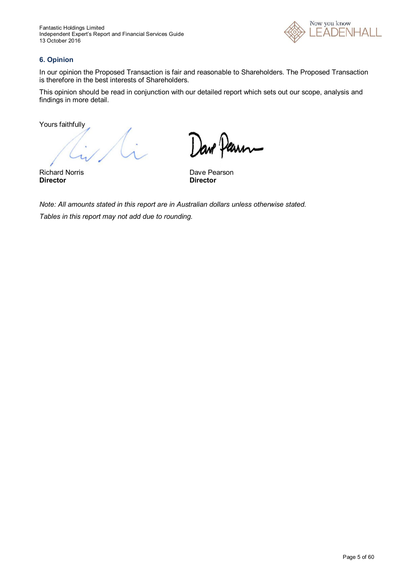

#### **6. Opinion**

In our opinion the Proposed Transaction is fair and reasonable to Shareholders. The Proposed Transaction is therefore in the best interests of Shareholders.

This opinion should be read in conjunction with our detailed report which sets out our scope, analysis and findings in more detail.

Yours faithfully

Jave Paum

Richard Norris **Dave Pearson**<br> **Director Director Director Director**

*Note: All amounts stated in this report are in Australian dollars unless otherwise stated. Tables in this report may not add due to rounding.*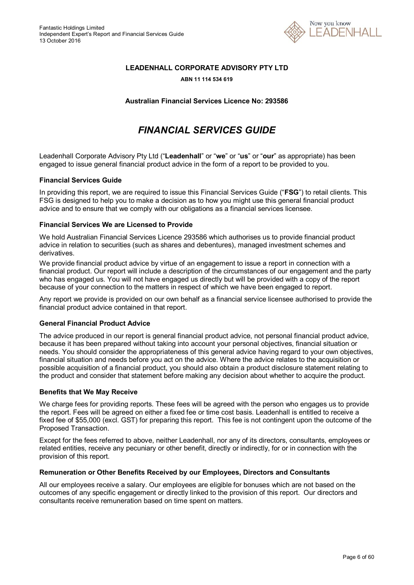

#### **LEADENHALL CORPORATE ADVISORY PTY LTD**

#### **ABN 11 114 534 619**

**Australian Financial Services Licence No: 293586**

# *FINANCIAL SERVICES GUIDE*

Leadenhall Corporate Advisory Pty Ltd ("**Leadenhall**" or "**we**" or "**us**" or "**our**" as appropriate) has been engaged to issue general financial product advice in the form of a report to be provided to you.

#### **Financial Services Guide**

In providing this report, we are required to issue this Financial Services Guide ("**FSG**") to retail clients. This FSG is designed to help you to make a decision as to how you might use this general financial product advice and to ensure that we comply with our obligations as a financial services licensee.

#### **Financial Services We are Licensed to Provide**

We hold Australian Financial Services Licence 293586 which authorises us to provide financial product advice in relation to securities (such as shares and debentures), managed investment schemes and derivatives.

We provide financial product advice by virtue of an engagement to issue a report in connection with a financial product. Our report will include a description of the circumstances of our engagement and the party who has engaged us. You will not have engaged us directly but will be provided with a copy of the report because of your connection to the matters in respect of which we have been engaged to report.

Any report we provide is provided on our own behalf as a financial service licensee authorised to provide the financial product advice contained in that report.

#### **General Financial Product Advice**

The advice produced in our report is general financial product advice, not personal financial product advice, because it has been prepared without taking into account your personal objectives, financial situation or needs. You should consider the appropriateness of this general advice having regard to your own objectives, financial situation and needs before you act on the advice. Where the advice relates to the acquisition or possible acquisition of a financial product, you should also obtain a product disclosure statement relating to the product and consider that statement before making any decision about whether to acquire the product.

#### **Benefits that We May Receive**

We charge fees for providing reports. These fees will be agreed with the person who engages us to provide the report. Fees will be agreed on either a fixed fee or time cost basis. Leadenhall is entitled to receive a fixed fee of \$55,000 (excl. GST) for preparing this report. This fee is not contingent upon the outcome of the Proposed Transaction.

Except for the fees referred to above, neither Leadenhall, nor any of its directors, consultants, employees or related entities, receive any pecuniary or other benefit, directly or indirectly, for or in connection with the provision of this report.

#### **Remuneration or Other Benefits Received by our Employees, Directors and Consultants**

All our employees receive a salary. Our employees are eligible for bonuses which are not based on the outcomes of any specific engagement or directly linked to the provision of this report. Our directors and consultants receive remuneration based on time spent on matters.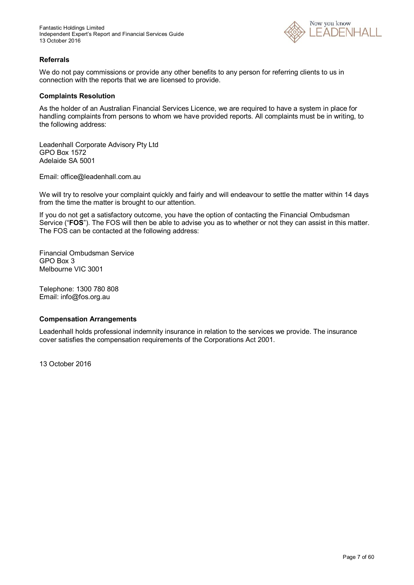

#### **Referrals**

We do not pay commissions or provide any other benefits to any person for referring clients to us in connection with the reports that we are licensed to provide.

#### **Complaints Resolution**

As the holder of an Australian Financial Services Licence, we are required to have a system in place for handling complaints from persons to whom we have provided reports. All complaints must be in writing, to the following address:

Leadenhall Corporate Advisory Pty Ltd GPO Box 1572 Adelaide SA 5001

Email: office@leadenhall.com.au

We will try to resolve your complaint quickly and fairly and will endeavour to settle the matter within 14 days from the time the matter is brought to our attention.

If you do not get a satisfactory outcome, you have the option of contacting the Financial Ombudsman Service ("**FOS**"). The FOS will then be able to advise you as to whether or not they can assist in this matter. The FOS can be contacted at the following address:

Financial Ombudsman Service GPO Box 3 Melbourne VIC 3001

Telephone: 1300 780 808 Email: info@fos.org.au

#### **Compensation Arrangements**

Leadenhall holds professional indemnity insurance in relation to the services we provide. The insurance cover satisfies the compensation requirements of the Corporations Act 2001.

13 October 2016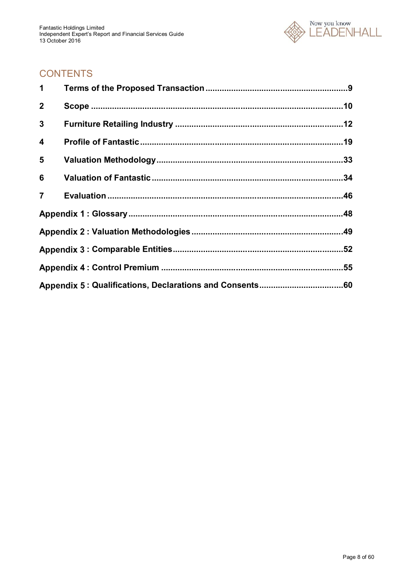

# **CONTENTS**

| 1              |  |
|----------------|--|
| $\mathbf{2}$   |  |
| 3              |  |
| 4              |  |
| 5              |  |
| 6              |  |
| $\overline{7}$ |  |
|                |  |
|                |  |
|                |  |
|                |  |
|                |  |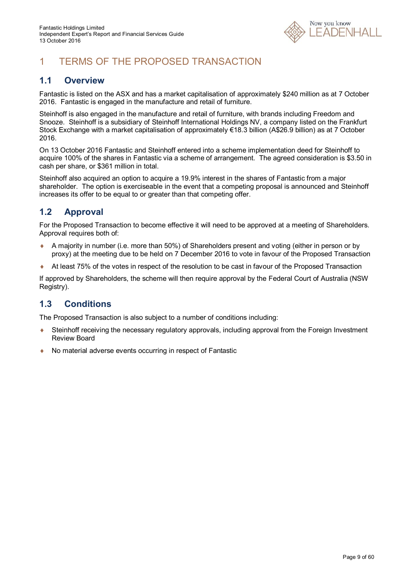

# 1 TERMS OF THE PROPOSED TRANSACTION

### **1.1 Overview**

Fantastic is listed on the ASX and has a market capitalisation of approximately \$240 million as at 7 October 2016. Fantastic is engaged in the manufacture and retail of furniture.

Steinhoff is also engaged in the manufacture and retail of furniture, with brands including Freedom and Snooze. Steinhoff is a subsidiary of Steinhoff International Holdings NV, a company listed on the Frankfurt Stock Exchange with a market capitalisation of approximately €18.3 billion (A\$26.9 billion) as at 7 October 2016.

On 13 October 2016 Fantastic and Steinhoff entered into a scheme implementation deed for Steinhoff to acquire 100% of the shares in Fantastic via a scheme of arrangement. The agreed consideration is \$3.50 in cash per share, or \$361 million in total.

Steinhoff also acquired an option to acquire a 19.9% interest in the shares of Fantastic from a major shareholder. The option is exerciseable in the event that a competing proposal is announced and Steinhoff increases its offer to be equal to or greater than that competing offer.

### **1.2 Approval**

For the Proposed Transaction to become effective it will need to be approved at a meeting of Shareholders. Approval requires both of:

- A majority in number (i.e. more than 50%) of Shareholders present and voting (either in person or by proxy) at the meeting due to be held on 7 December 2016 to vote in favour of the Proposed Transaction
- At least 75% of the votes in respect of the resolution to be cast in favour of the Proposed Transaction

If approved by Shareholders, the scheme will then require approval by the Federal Court of Australia (NSW Registry).

### **1.3 Conditions**

The Proposed Transaction is also subject to a number of conditions including:

- Steinhoff receiving the necessary regulatory approvals, including approval from the Foreign Investment Review Board
- No material adverse events occurring in respect of Fantastic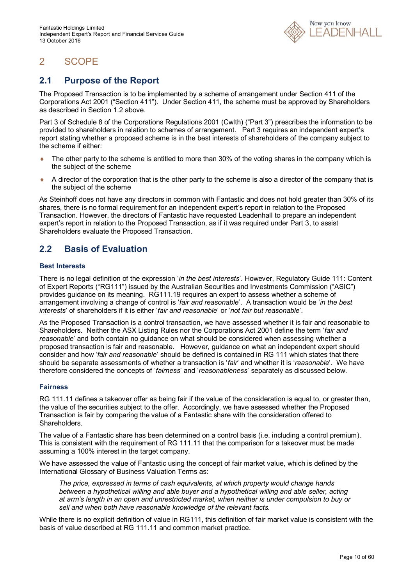

# 2 SCOPE

### **2.1 Purpose of the Report**

The Proposed Transaction is to be implemented by a scheme of arrangement under Section 411 of the Corporations Act 2001 ("Section 411"). Under Section 411, the scheme must be approved by Shareholders as described in Section 1.2 above.

Part 3 of Schedule 8 of the Corporations Regulations 2001 (Cwlth) ("Part 3") prescribes the information to be provided to shareholders in relation to schemes of arrangement. Part 3 requires an independent expert's report stating whether a proposed scheme is in the best interests of shareholders of the company subject to the scheme if either:

- $\bullet$  The other party to the scheme is entitled to more than 30% of the voting shares in the company which is the subject of the scheme
- $\bullet$  A director of the corporation that is the other party to the scheme is also a director of the company that is the subject of the scheme

As Steinhoff does not have any directors in common with Fantastic and does not hold greater than 30% of its shares, there is no formal requirement for an independent expert's report in relation to the Proposed Transaction. However, the directors of Fantastic have requested Leadenhall to prepare an independent expert's report in relation to the Proposed Transaction, as if it was required under Part 3, to assist Shareholders evaluate the Proposed Transaction.

### **2.2 Basis of Evaluation**

#### **Best Interests**

There is no legal definition of the expression '*in the best interests*'. However, Regulatory Guide 111: Content of Expert Reports ("RG111") issued by the Australian Securities and Investments Commission ("ASIC") provides guidance on its meaning. RG111.19 requires an expert to assess whether a scheme of arrangement involving a change of control is '*fair and reasonable*'. A transaction would be '*in the best interests*' of shareholders if it is either '*fair and reasonable*' or '*not fair but reasonable*'.

As the Proposed Transaction is a control transaction, we have assessed whether it is fair and reasonable to Shareholders. Neither the ASX Listing Rules nor the Corporations Act 2001 define the term '*fair and reasonable*' and both contain no guidance on what should be considered when assessing whether a proposed transaction is fair and reasonable. However, guidance on what an independent expert should consider and how '*fair and reasonable*' should be defined is contained in RG 111 which states that there should be separate assessments of whether a transaction is '*fair*' and whether it is '*reasonable*'. We have therefore considered the concepts of '*fairness*' and '*reasonableness*' separately as discussed below.

#### **Fairness**

RG 111.11 defines a takeover offer as being fair if the value of the consideration is equal to, or greater than, the value of the securities subject to the offer. Accordingly, we have assessed whether the Proposed Transaction is fair by comparing the value of a Fantastic share with the consideration offered to **Shareholders** 

The value of a Fantastic share has been determined on a control basis (i.e. including a control premium). This is consistent with the requirement of RG 111.11 that the comparison for a takeover must be made assuming a 100% interest in the target company.

We have assessed the value of Fantastic using the concept of fair market value, which is defined by the International Glossary of Business Valuation Terms as:

*The price, expressed in terms of cash equivalents, at which property would change hands between a hypothetical willing and able buyer and a hypothetical willing and able seller, acting at arm's length in an open and unrestricted market, when neither is under compulsion to buy or sell and when both have reasonable knowledge of the relevant facts.*

While there is no explicit definition of value in RG111, this definition of fair market value is consistent with the basis of value described at RG 111.11 and common market practice.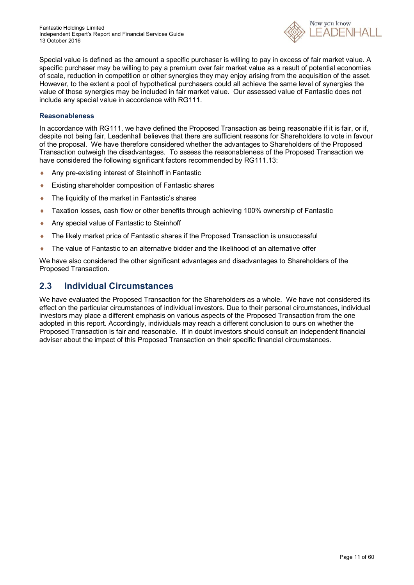Fantastic Holdings Limited Independent Expert's Report and Financial Services Guide 13 October 2016



Special value is defined as the amount a specific purchaser is willing to pay in excess of fair market value. A specific purchaser may be willing to pay a premium over fair market value as a result of potential economies of scale, reduction in competition or other synergies they may enjoy arising from the acquisition of the asset. However, to the extent a pool of hypothetical purchasers could all achieve the same level of synergies the value of those synergies may be included in fair market value. Our assessed value of Fantastic does not include any special value in accordance with RG111.

#### **Reasonableness**

In accordance with RG111, we have defined the Proposed Transaction as being reasonable if it is fair, or if, despite not being fair, Leadenhall believes that there are sufficient reasons for Shareholders to vote in favour of the proposal. We have therefore considered whether the advantages to Shareholders of the Proposed Transaction outweigh the disadvantages. To assess the reasonableness of the Proposed Transaction we have considered the following significant factors recommended by RG111.13:

- Any pre-existing interest of Steinhoff in Fantastic
- Existing shareholder composition of Fantastic shares
- ◆ The liquidity of the market in Fantastic's shares
- Taxation losses, cash flow or other benefits through achieving 100% ownership of Fantastic
- Any special value of Fantastic to Steinhoff
- The likely market price of Fantastic shares if the Proposed Transaction is unsuccessful
- The value of Fantastic to an alternative bidder and the likelihood of an alternative offer

We have also considered the other significant advantages and disadvantages to Shareholders of the Proposed Transaction.

### **2.3 Individual Circumstances**

We have evaluated the Proposed Transaction for the Shareholders as a whole. We have not considered its effect on the particular circumstances of individual investors. Due to their personal circumstances, individual investors may place a different emphasis on various aspects of the Proposed Transaction from the one adopted in this report. Accordingly, individuals may reach a different conclusion to ours on whether the Proposed Transaction is fair and reasonable. If in doubt investors should consult an independent financial adviser about the impact of this Proposed Transaction on their specific financial circumstances.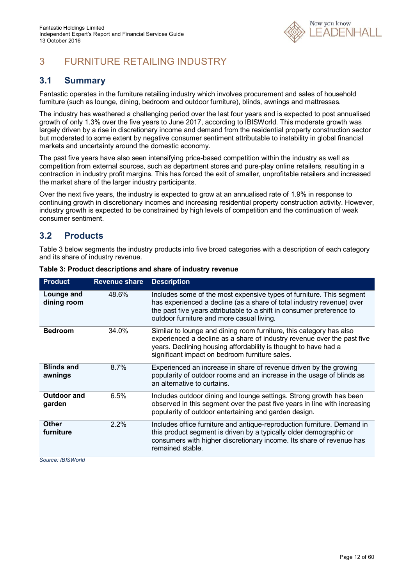

# 3 FURNITURE RETAILING INDUSTRY

### **3.1 Summary**

Fantastic operates in the furniture retailing industry which involves procurement and sales of household furniture (such as lounge, dining, bedroom and outdoor furniture), blinds, awnings and mattresses.

The industry has weathered a challenging period over the last four years and is expected to post annualised growth of only 1.3% over the five years to June 2017, according to IBISWorld. This moderate growth was largely driven by a rise in discretionary income and demand from the residential property construction sector but moderated to some extent by negative consumer sentiment attributable to instability in global financial markets and uncertainty around the domestic economy.

The past five years have also seen intensifying price-based competition within the industry as well as competition from external sources, such as department stores and pure-play online retailers, resulting in a contraction in industry profit margins. This has forced the exit of smaller, unprofitable retailers and increased the market share of the larger industry participants.

Over the next five years, the industry is expected to grow at an annualised rate of 1.9% in response to continuing growth in discretionary incomes and increasing residential property construction activity. However, industry growth is expected to be constrained by high levels of competition and the continuation of weak consumer sentiment.

### **3.2 Products**

Table 3 below segments the industry products into five broad categories with a description of each category and its share of industry revenue.

| <b>Product</b>               | <b>Revenue share</b> | <b>Description</b>                                                                                                                                                                                                                                                  |
|------------------------------|----------------------|---------------------------------------------------------------------------------------------------------------------------------------------------------------------------------------------------------------------------------------------------------------------|
| Lounge and<br>dining room    | 48.6%                | Includes some of the most expensive types of furniture. This segment<br>has experienced a decline (as a share of total industry revenue) over<br>the past five years attributable to a shift in consumer preference to<br>outdoor furniture and more casual living. |
| <b>Bedroom</b>               | 34.0%                | Similar to lounge and dining room furniture, this category has also<br>experienced a decline as a share of industry revenue over the past five<br>years. Declining housing affordability is thought to have had a<br>significant impact on bedroom furniture sales. |
| <b>Blinds and</b><br>awnings | 8.7%                 | Experienced an increase in share of revenue driven by the growing<br>popularity of outdoor rooms and an increase in the usage of blinds as<br>an alternative to curtains.                                                                                           |
| <b>Outdoor and</b><br>garden | 6.5%                 | Includes outdoor dining and lounge settings. Strong growth has been<br>observed in this segment over the past five years in line with increasing<br>popularity of outdoor entertaining and garden design.                                                           |
| <b>Other</b><br>furniture    | 2.2%                 | Includes office furniture and antique-reproduction furniture. Demand in<br>this product segment is driven by a typically older demographic or<br>consumers with higher discretionary income. Its share of revenue has<br>remained stable.                           |

|  | Table 3: Product descriptions and share of industry revenue |  |  |
|--|-------------------------------------------------------------|--|--|
|  |                                                             |  |  |

*Source: IBISWorld*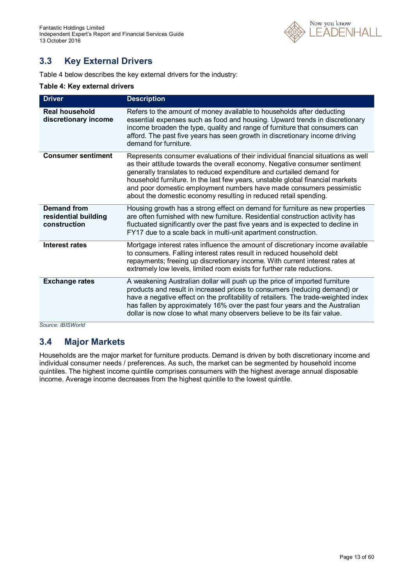

### **3.3 Key External Drivers**

Table 4 below describes the key external drivers for the industry:

#### **Table 4: Key external drivers**

| <b>Driver</b>                                              | <b>Description</b>                                                                                                                                                                                                                                                                                                                                                                                                                                                  |
|------------------------------------------------------------|---------------------------------------------------------------------------------------------------------------------------------------------------------------------------------------------------------------------------------------------------------------------------------------------------------------------------------------------------------------------------------------------------------------------------------------------------------------------|
| <b>Real household</b><br>discretionary income              | Refers to the amount of money available to households after deducting<br>essential expenses such as food and housing. Upward trends in discretionary<br>income broaden the type, quality and range of furniture that consumers can<br>afford. The past five years has seen growth in discretionary income driving<br>demand for furniture.                                                                                                                          |
| <b>Consumer sentiment</b>                                  | Represents consumer evaluations of their individual financial situations as well<br>as their attitude towards the overall economy. Negative consumer sentiment<br>generally translates to reduced expenditure and curtailed demand for<br>household furniture. In the last few years, unstable global financial markets<br>and poor domestic employment numbers have made consumers pessimistic<br>about the domestic economy resulting in reduced retail spending. |
| <b>Demand from</b><br>residential building<br>construction | Housing growth has a strong effect on demand for furniture as new properties<br>are often furnished with new furniture. Residential construction activity has<br>fluctuated significantly over the past five years and is expected to decline in<br>FY17 due to a scale back in multi-unit apartment construction.                                                                                                                                                  |
| Interest rates                                             | Mortgage interest rates influence the amount of discretionary income available<br>to consumers. Falling interest rates result in reduced household debt<br>repayments; freeing up discretionary income. With current interest rates at<br>extremely low levels, limited room exists for further rate reductions.                                                                                                                                                    |
| <b>Exchange rates</b>                                      | A weakening Australian dollar will push up the price of imported furniture<br>products and result in increased prices to consumers (reducing demand) or<br>have a negative effect on the profitability of retailers. The trade-weighted index<br>has fallen by approximately 16% over the past four years and the Australian<br>dollar is now close to what many observers believe to be its fair value.                                                            |

*Source: IBISWorld*

### **3.4 Major Markets**

Households are the major market for furniture products. Demand is driven by both discretionary income and individual consumer needs / preferences. As such, the market can be segmented by household income quintiles. The highest income quintile comprises consumers with the highest average annual disposable income. Average income decreases from the highest quintile to the lowest quintile.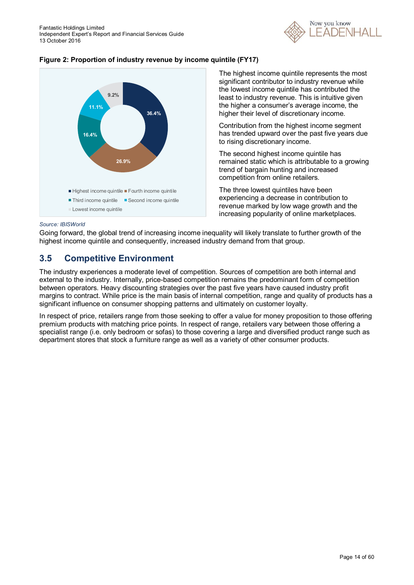





The highest income quintile represents the most significant contributor to industry revenue while the lowest income quintile has contributed the least to industry revenue. This is intuitive given the higher a consumer's average income, the higher their level of discretionary income.

Contribution from the highest income segment has trended upward over the past five years due to rising discretionary income.

The second highest income quintile has remained static which is attributable to a growing trend of bargain hunting and increased competition from online retailers.

The three lowest quintiles have been experiencing a decrease in contribution to revenue marked by low wage growth and the increasing popularity of online marketplaces.

#### *Source: IBISWorld*

Going forward, the global trend of increasing income inequality will likely translate to further growth of the highest income quintile and consequently, increased industry demand from that group.

### **3.5 Competitive Environment**

The industry experiences a moderate level of competition. Sources of competition are both internal and external to the industry. Internally, price-based competition remains the predominant form of competition between operators. Heavy discounting strategies over the past five years have caused industry profit margins to contract. While price is the main basis of internal competition, range and quality of products has a significant influence on consumer shopping patterns and ultimately on customer loyalty.

In respect of price, retailers range from those seeking to offer a value for money proposition to those offering premium products with matching price points. In respect of range, retailers vary between those offering a specialist range (i.e. only bedroom or sofas) to those covering a large and diversified product range such as department stores that stock a furniture range as well as a variety of other consumer products.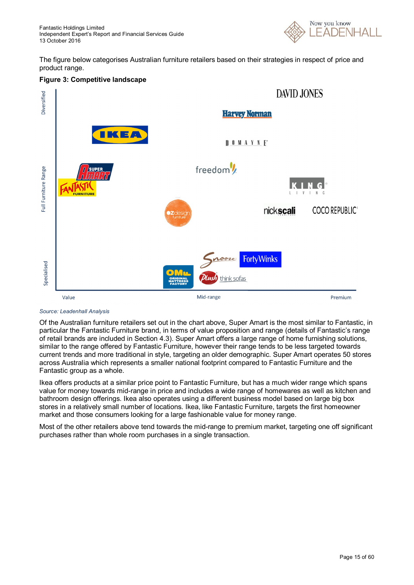

The figure below categorises Australian furniture retailers based on their strategies in respect of price and product range.

#### **Figure 3: Competitive landscape**



#### *Source: Leadenhall Analysis*

Of the Australian furniture retailers set out in the chart above, Super Amart is the most similar to Fantastic, in particular the Fantastic Furniture brand, in terms of value proposition and range (details of Fantastic's range of retail brands are included in Section 4.3). Super Amart offers a large range of home furnishing solutions, similar to the range offered by Fantastic Furniture, however their range tends to be less targeted towards current trends and more traditional in style, targeting an older demographic. Super Amart operates 50 stores across Australia which represents a smaller national footprint compared to Fantastic Furniture and the Fantastic group as a whole.

Ikea offers products at a similar price point to Fantastic Furniture, but has a much wider range which spans value for money towards mid-range in price and includes a wide range of homewares as well as kitchen and bathroom design offerings. Ikea also operates using a different business model based on large big box stores in a relatively small number of locations. Ikea, like Fantastic Furniture, targets the first homeowner market and those consumers looking for a large fashionable value for money range.

Most of the other retailers above tend towards the mid-range to premium market, targeting one off significant purchases rather than whole room purchases in a single transaction.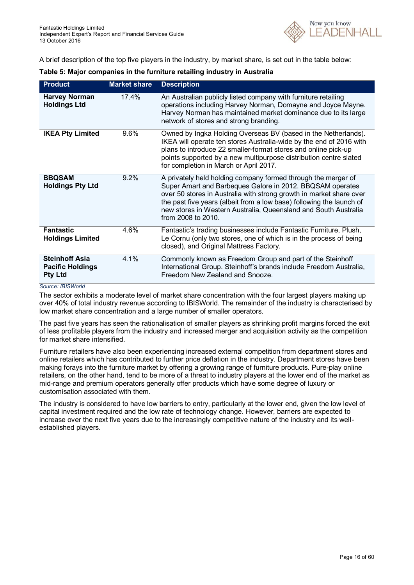

A brief description of the top five players in the industry, by market share, is set out in the table below:

| <b>Product</b>                                                     | <b>Market share</b> | <b>Description</b>                                                                                                                                                                                                                                                                                                                                                 |
|--------------------------------------------------------------------|---------------------|--------------------------------------------------------------------------------------------------------------------------------------------------------------------------------------------------------------------------------------------------------------------------------------------------------------------------------------------------------------------|
| <b>Harvey Norman</b><br><b>Holdings Ltd</b>                        | 17.4%               | An Australian publicly listed company with furniture retailing<br>operations including Harvey Norman, Domayne and Joyce Mayne.<br>Harvey Norman has maintained market dominance due to its large<br>network of stores and strong branding.                                                                                                                         |
| <b>IKEA Pty Limited</b>                                            | 9.6%                | Owned by Ingka Holding Overseas BV (based in the Netherlands).<br>IKEA will operate ten stores Australia-wide by the end of 2016 with<br>plans to introduce 22 smaller-format stores and online pick-up<br>points supported by a new multipurpose distribution centre slated<br>for completion in March or April 2017.                                             |
| <b>BBQSAM</b><br><b>Holdings Pty Ltd</b>                           | 9.2%                | A privately held holding company formed through the merger of<br>Super Amart and Barbeques Galore in 2012. BBQSAM operates<br>over 50 stores in Australia with strong growth in market share over<br>the past five years (albeit from a low base) following the launch of<br>new stores in Western Australia, Queensland and South Australia<br>from 2008 to 2010. |
| <b>Fantastic</b><br><b>Holdings Limited</b>                        | 4.6%                | Fantastic's trading businesses include Fantastic Furniture, Plush,<br>Le Cornu (only two stores, one of which is in the process of being<br>closed), and Original Mattress Factory.                                                                                                                                                                                |
| <b>Steinhoff Asia</b><br><b>Pacific Holdings</b><br><b>Pty Ltd</b> | 4.1%                | Commonly known as Freedom Group and part of the Steinhoff<br>International Group. Steinhoff's brands include Freedom Australia,<br>Freedom New Zealand and Snooze.                                                                                                                                                                                                 |

#### *Source: IBISWorld*

The sector exhibits a moderate level of market share concentration with the four largest players making up over 40% of total industry revenue according to IBISWorld. The remainder of the industry is characterised by low market share concentration and a large number of smaller operators.

The past five years has seen the rationalisation of smaller players as shrinking profit margins forced the exit of less profitable players from the industry and increased merger and acquisition activity as the competition for market share intensified.

Furniture retailers have also been experiencing increased external competition from department stores and online retailers which has contributed to further price deflation in the industry. Department stores have been making forays into the furniture market by offering a growing range of furniture products. Pure-play online retailers, on the other hand, tend to be more of a threat to industry players at the lower end of the market as mid-range and premium operators generally offer products which have some degree of luxury or customisation associated with them.

The industry is considered to have low barriers to entry, particularly at the lower end, given the low level of capital investment required and the low rate of technology change. However, barriers are expected to increase over the next five years due to the increasingly competitive nature of the industry and its wellestablished players.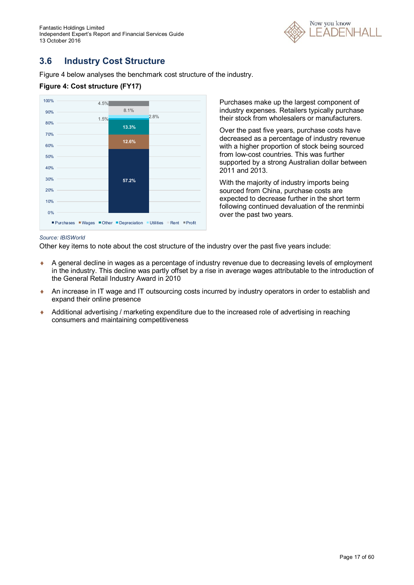Fantastic Holdings Limited Independent Expert's Report and Financial Services Guide 13 October 2016



### **3.6 Industry Cost Structure**

Figure 4 below analyses the benchmark cost structure of the industry.

#### **Figure 4: Cost structure (FY17)**



Purchases make up the largest component of industry expenses. Retailers typically purchase their stock from wholesalers or manufacturers.

Over the past five years, purchase costs have decreased as a percentage of industry revenue with a higher proportion of stock being sourced from low-cost countries. This was further supported by a strong Australian dollar between 2011 and 2013.

With the majority of industry imports being sourced from China, purchase costs are expected to decrease further in the short term following continued devaluation of the renminbi over the past two years.

#### *Source: IBISWorld*

Other key items to note about the cost structure of the industry over the past five years include:

- A general decline in wages as a percentage of industry revenue due to decreasing levels of employment in the industry. This decline was partly offset by a rise in average wages attributable to the introduction of the General Retail Industry Award in 2010
- An increase in IT wage and IT outsourcing costs incurred by industry operators in order to establish and expand their online presence
- Additional advertising / marketing expenditure due to the increased role of advertising in reaching consumers and maintaining competitiveness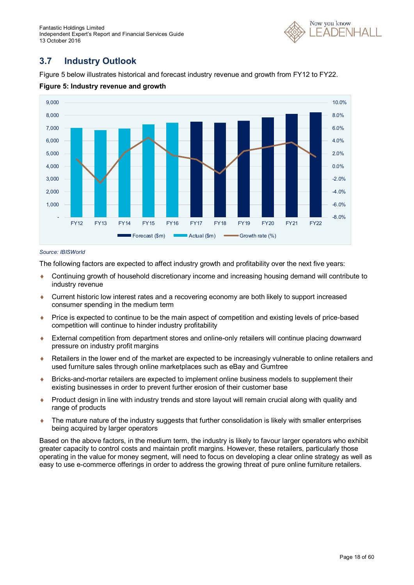Fantastic Holdings Limited Independent Expert's Report and Financial Services Guide 13 October 2016



### **3.7 Industry Outlook**

Figure 5 below illustrates historical and forecast industry revenue and growth from FY12 to FY22.



#### **Figure 5: Industry revenue and growth**

#### *Source: IBISWorld*

The following factors are expected to affect industry growth and profitability over the next five years:

- Continuing growth of household discretionary income and increasing housing demand will contribute to industry revenue
- Current historic low interest rates and a recovering economy are both likely to support increased consumer spending in the medium term
- Price is expected to continue to be the main aspect of competition and existing levels of price-based competition will continue to hinder industry profitability
- External competition from department stores and online-only retailers will continue placing downward pressure on industry profit margins
- Retailers in the lower end of the market are expected to be increasingly vulnerable to online retailers and used furniture sales through online marketplaces such as eBay and Gumtree
- Bricks-and-mortar retailers are expected to implement online business models to supplement their existing businesses in order to prevent further erosion of their customer base
- Product design in line with industry trends and store layout will remain crucial along with quality and range of products
- The mature nature of the industry suggests that further consolidation is likely with smaller enterprises being acquired by larger operators

Based on the above factors, in the medium term, the industry is likely to favour larger operators who exhibit greater capacity to control costs and maintain profit margins. However, these retailers, particularly those operating in the value for money segment, will need to focus on developing a clear online strategy as well as easy to use e-commerce offerings in order to address the growing threat of pure online furniture retailers.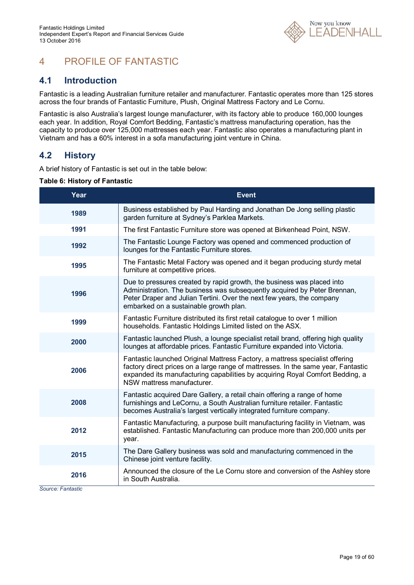

# 4 PROFILE OF FANTASTIC

### **4.1 Introduction**

Fantastic is a leading Australian furniture retailer and manufacturer. Fantastic operates more than 125 stores across the four brands of Fantastic Furniture, Plush, Original Mattress Factory and Le Cornu.

Fantastic is also Australia's largest lounge manufacturer, with its factory able to produce 160,000 lounges each year. In addition, Royal Comfort Bedding, Fantastic's mattress manufacturing operation, has the capacity to produce over 125,000 mattresses each year. Fantastic also operates a manufacturing plant in Vietnam and has a 60% interest in a sofa manufacturing joint venture in China.

### **4.2 History**

A brief history of Fantastic is set out in the table below:

| <b>Table 6: History of Fantastic</b> |  |
|--------------------------------------|--|
|--------------------------------------|--|

| Year | <b>Event</b>                                                                                                                                                                                                                                                                     |
|------|----------------------------------------------------------------------------------------------------------------------------------------------------------------------------------------------------------------------------------------------------------------------------------|
| 1989 | Business established by Paul Harding and Jonathan De Jong selling plastic<br>garden furniture at Sydney's Parklea Markets.                                                                                                                                                       |
| 1991 | The first Fantastic Furniture store was opened at Birkenhead Point, NSW.                                                                                                                                                                                                         |
| 1992 | The Fantastic Lounge Factory was opened and commenced production of<br>lounges for the Fantastic Furniture stores.                                                                                                                                                               |
| 1995 | The Fantastic Metal Factory was opened and it began producing sturdy metal<br>furniture at competitive prices.                                                                                                                                                                   |
| 1996 | Due to pressures created by rapid growth, the business was placed into<br>Administration. The business was subsequently acquired by Peter Brennan,<br>Peter Draper and Julian Tertini. Over the next few years, the company<br>embarked on a sustainable growth plan.            |
| 1999 | Fantastic Furniture distributed its first retail catalogue to over 1 million<br>households. Fantastic Holdings Limited listed on the ASX.                                                                                                                                        |
| 2000 | Fantastic launched Plush, a lounge specialist retail brand, offering high quality<br>lounges at affordable prices. Fantastic Furniture expanded into Victoria.                                                                                                                   |
| 2006 | Fantastic launched Original Mattress Factory, a mattress specialist offering<br>factory direct prices on a large range of mattresses. In the same year, Fantastic<br>expanded its manufacturing capabilities by acquiring Royal Comfort Bedding, a<br>NSW mattress manufacturer. |
| 2008 | Fantastic acquired Dare Gallery, a retail chain offering a range of home<br>furnishings and LeCornu, a South Australian furniture retailer. Fantastic<br>becomes Australia's largest vertically integrated furniture company.                                                    |
| 2012 | Fantastic Manufacturing, a purpose built manufacturing facility in Vietnam, was<br>established. Fantastic Manufacturing can produce more than 200,000 units per<br>year.                                                                                                         |
| 2015 | The Dare Gallery business was sold and manufacturing commenced in the<br>Chinese joint venture facility.                                                                                                                                                                         |
| 2016 | Announced the closure of the Le Cornu store and conversion of the Ashley store<br>in South Australia.                                                                                                                                                                            |

*Source: Fantastic*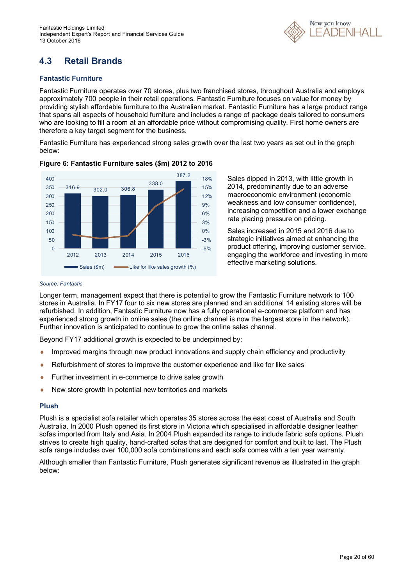

# **4.3 Retail Brands**

#### **Fantastic Furniture**

Fantastic Furniture operates over 70 stores, plus two franchised stores, throughout Australia and employs approximately 700 people in their retail operations. Fantastic Furniture focuses on value for money by providing stylish affordable furniture to the Australian market. Fantastic Furniture has a large product range that spans all aspects of household furniture and includes a range of package deals tailored to consumers who are looking to fill a room at an affordable price without compromising quality. First home owners are therefore a key target segment for the business.

Fantastic Furniture has experienced strong sales growth over the last two years as set out in the graph below:



#### **Figure 6: Fantastic Furniture sales (\$m) 2012 to 2016**

Sales dipped in 2013, with little growth in 2014, predominantly due to an adverse macroeconomic environment (economic weakness and low consumer confidence), increasing competition and a lower exchange rate placing pressure on pricing.

Sales increased in 2015 and 2016 due to strategic initiatives aimed at enhancing the product offering, improving customer service, engaging the workforce and investing in more effective marketing solutions.

#### *Source: Fantastic*

Longer term, management expect that there is potential to grow the Fantastic Furniture network to 100 stores in Australia. In FY17 four to six new stores are planned and an additional 14 existing stores will be refurbished. In addition, Fantastic Furniture now has a fully operational e-commerce platform and has experienced strong growth in online sales (the online channel is now the largest store in the network). Further innovation is anticipated to continue to grow the online sales channel.

Beyond FY17 additional growth is expected to be underpinned by:

- Improved margins through new product innovations and supply chain efficiency and productivity
- Refurbishment of stores to improve the customer experience and like for like sales
- ◆ Further investment in e-commerce to drive sales growth
- New store growth in potential new territories and markets

#### **Plush**

Plush is a specialist sofa retailer which operates 35 stores across the east coast of Australia and South Australia. In 2000 Plush opened its first store in Victoria which specialised in affordable designer leather sofas imported from Italy and Asia. In 2004 Plush expanded its range to include fabric sofa options. Plush strives to create high quality, hand-crafted sofas that are designed for comfort and built to last. The Plush sofa range includes over 100,000 sofa combinations and each sofa comes with a ten year warranty.

Although smaller than Fantastic Furniture, Plush generates significant revenue as illustrated in the graph below: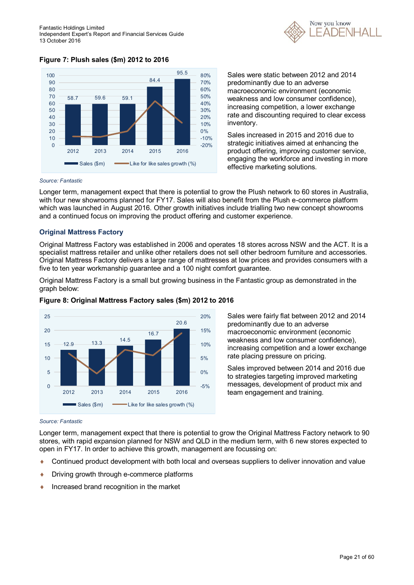

**Figure 7: Plush sales (\$m) 2012 to 2016**



Sales were static between 2012 and 2014 predominantly due to an adverse macroeconomic environment (economic weakness and low consumer confidence), increasing competition, a lower exchange rate and discounting required to clear excess inventory.

Sales increased in 2015 and 2016 due to strategic initiatives aimed at enhancing the product offering, improving customer service, engaging the workforce and investing in more effective marketing solutions.

#### *Source: Fantastic*

Longer term, management expect that there is potential to grow the Plush network to 60 stores in Australia, with four new showrooms planned for FY17. Sales will also benefit from the Plush e-commerce platform which was launched in August 2016. Other growth initiatives include trialling two new concept showrooms and a continued focus on improving the product offering and customer experience.

#### **Original Mattress Factory**

Original Mattress Factory was established in 2006 and operates 18 stores across NSW and the ACT. It is a specialist mattress retailer and unlike other retailers does not sell other bedroom furniture and accessories. Original Mattress Factory delivers a large range of mattresses at low prices and provides consumers with a five to ten year workmanship guarantee and a 100 night comfort guarantee.

Original Mattress Factory is a small but growing business in the Fantastic group as demonstrated in the graph below:



#### **Figure 8: Original Mattress Factory sales (\$m) 2012 to 2016**

Sales were fairly flat between 2012 and 2014 predominantly due to an adverse macroeconomic environment (economic weakness and low consumer confidence), increasing competition and a lower exchange rate placing pressure on pricing.

Sales improved between 2014 and 2016 due to strategies targeting improved marketing messages, development of product mix and team engagement and training.

#### *Source: Fantastic*

Longer term, management expect that there is potential to grow the Original Mattress Factory network to 90 stores, with rapid expansion planned for NSW and QLD in the medium term, with 6 new stores expected to open in FY17. In order to achieve this growth, management are focussing on:

- Continued product development with both local and overseas suppliers to deliver innovation and value
- **•** Driving growth through e-commerce platforms
- $\bullet$  Increased brand recognition in the market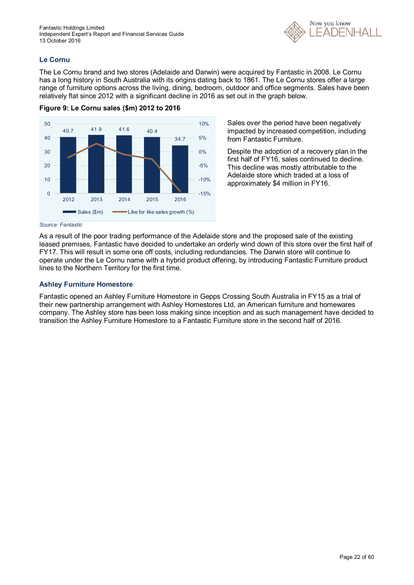

#### **Le Cornu**

The Le Cornu brand and two stores (Adelaide and Darwin) were acquired by Fantastic in 2008. Le Cornu has a long history in South Australia with its origins dating back to 1861. The Le Cornu stores offer a large range of furniture options across the living, dining, bedroom, outdoor and office segments. Sales have been relatively flat since 2012 with a significant decline in 2016 as set out in the graph below.





Sales over the period have been negatively impacted by increased competition, including from Fantastic Furniture.

Despite the adoption of a recovery plan in the first half of FY16, sales continued to decline. This decline was mostly attributable to the Adelaide store which traded at a loss of approximately \$4 million in FY16.

#### *Source: Fantastic*

As a result of the poor trading performance of the Adelaide store and the proposed sale of the existing leased premises, Fantastic have decided to undertake an orderly wind down of this store over the first half of FY17. This will result in some one off costs, including redundancies. The Darwin store will continue to operate under the Le Cornu name with a hybrid product offering, by introducing Fantastic Furniture product lines to the Northern Territory for the first time.

#### **Ashley Furniture Homestore**

Fantastic opened an Ashley Furniture Homestore in Gepps Crossing South Australia in FY15 as a trial of their new partnership arrangement with Ashley Homestores Ltd, an American furniture and homewares company. The Ashley store has been loss making since inception and as such management have decided to transition the Ashley Furniture Homestore to a Fantastic Furniture store in the second half of 2016.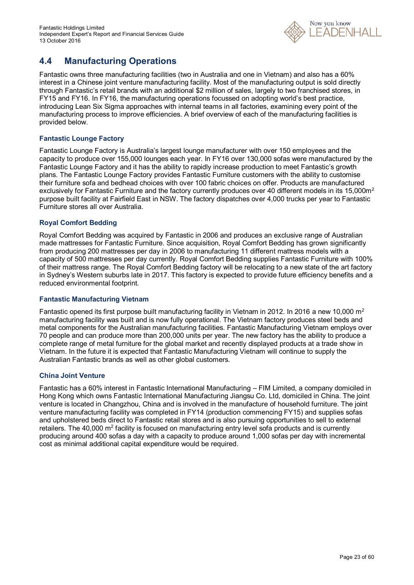

### **4.4 Manufacturing Operations**

Fantastic owns three manufacturing facilities (two in Australia and one in Vietnam) and also has a 60% interest in a Chinese joint venture manufacturing facility. Most of the manufacturing output is sold directly through Fantastic's retail brands with an additional \$2 million of sales, largely to two franchised stores, in FY15 and FY16. In FY16, the manufacturing operations focussed on adopting world's best practice, introducing Lean Six Sigma approaches with internal teams in all factories, examining every point of the manufacturing process to improve efficiencies. A brief overview of each of the manufacturing facilities is provided below.

#### **Fantastic Lounge Factory**

Fantastic Lounge Factory is Australia's largest lounge manufacturer with over 150 employees and the capacity to produce over 155,000 lounges each year. In FY16 over 130,000 sofas were manufactured by the Fantastic Lounge Factory and it has the ability to rapidly increase production to meet Fantastic's growth plans. The Fantastic Lounge Factory provides Fantastic Furniture customers with the ability to customise their furniture sofa and bedhead choices with over 100 fabric choices on offer. Products are manufactured exclusively for Fantastic Furniture and the factory currently produces over 40 different models in its 15,000m<sup>2</sup> purpose built facility at Fairfield East in NSW. The factory dispatches over 4,000 trucks per year to Fantastic Furniture stores all over Australia.

#### **Royal Comfort Bedding**

Royal Comfort Bedding was acquired by Fantastic in 2006 and produces an exclusive range of Australian made mattresses for Fantastic Furniture. Since acquisition, Royal Comfort Bedding has grown significantly from producing 200 mattresses per day in 2006 to manufacturing 11 different mattress models with a capacity of 500 mattresses per day currently. Royal Comfort Bedding supplies Fantastic Furniture with 100% of their mattress range. The Royal Comfort Bedding factory will be relocating to a new state of the art factory in Sydney's Western suburbs late in 2017. This factory is expected to provide future efficiency benefits and a reduced environmental footprint.

#### **Fantastic Manufacturing Vietnam**

Fantastic opened its first purpose built manufacturing facility in Vietnam in 2012. In 2016 a new 10,000 m<sup>2</sup> manufacturing facility was built and is now fully operational. The Vietnam factory produces steel beds and metal components for the Australian manufacturing facilities. Fantastic Manufacturing Vietnam employs over 70 people and can produce more than 200,000 units per year. The new factory has the ability to produce a complete range of metal furniture for the global market and recently displayed products at a trade show in Vietnam. In the future it is expected that Fantastic Manufacturing Vietnam will continue to supply the Australian Fantastic brands as well as other global customers.

#### **China Joint Venture**

Fantastic has a 60% interest in Fantastic International Manufacturing – FIM Limited, a company domiciled in Hong Kong which owns Fantastic International Manufacturing Jiangsu Co. Ltd, domiciled in China. The joint venture is located in Changzhou, China and is involved in the manufacture of household furniture. The joint venture manufacturing facility was completed in FY14 (production commencing FY15) and supplies sofas and upholstered beds direct to Fantastic retail stores and is also pursuing opportunities to sell to external retailers. The 40,000 m<sup>2</sup> facility is focused on manufacturing entry level sofa products and is currently producing around 400 sofas a day with a capacity to produce around 1,000 sofas per day with incremental cost as minimal additional capital expenditure would be required.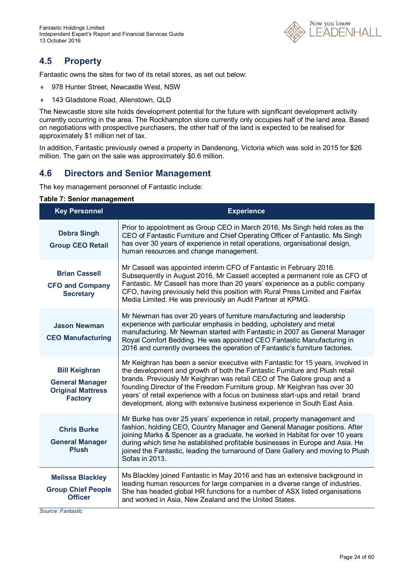

### **4.5 Property**

Fantastic owns the sites for two of its retail stores, as set out below:

- ◆ 978 Hunter Street, Newcastle West, NSW
- ◆ 143 Gladstone Road, Allenstown, QLD

The Newcastle store site holds development potential for the future with significant development activity currently occurring in the area. The Rockhampton store currently only occupies half of the land area. Based on negotiations with prospective purchasers, the other half of the land is expected to be realised for approximately \$1 million net of tax.

In addition, Fantastic previously owned a property in Dandenong, Victoria which was sold in 2015 for \$26 million. The gain on the sale was approximately \$0.6 million.

### **4.6 Directors and Senior Management**

The key management personnel of Fantastic include:

#### **Table 7: Senior management**

| <b>Key Personnel</b>                                                                         | <b>Experience</b>                                                                                                                                                                                                                                                                                                                                                                                                                                                                       |
|----------------------------------------------------------------------------------------------|-----------------------------------------------------------------------------------------------------------------------------------------------------------------------------------------------------------------------------------------------------------------------------------------------------------------------------------------------------------------------------------------------------------------------------------------------------------------------------------------|
| <b>Debra Singh</b><br><b>Group CEO Retail</b>                                                | Prior to appointment as Group CEO in March 2016, Ms Singh held roles as the<br>CEO of Fantastic Furniture and Chief Operating Officer of Fantastic. Ms Singh<br>has over 30 years of experience in retail operations, organisational design,<br>human resources and change management.                                                                                                                                                                                                  |
| <b>Brian Cassell</b><br><b>CFO and Company</b><br><b>Secretary</b>                           | Mr Cassell was appointed interim CFO of Fantastic in February 2016.<br>Subsequently in August 2016, Mr Cassell accepted a permanent role as CFO of<br>Fantastic. Mr Cassell has more than 20 years' experience as a public company<br>CFO, having previously held this position with Rural Press Limited and Fairfax<br>Media Limited. He was previously an Audit Partner at KPMG.                                                                                                      |
| <b>Jason Newman</b><br><b>CEO Manufacturing</b>                                              | Mr Newman has over 20 years of furniture manufacturing and leadership<br>experience with particular emphasis in bedding, upholstery and metal<br>manufacturing. Mr Newman started with Fantastic in 2007 as General Manager<br>Royal Comfort Bedding. He was appointed CEO Fantastic Manufacturing in<br>2016 and currently oversees the operation of Fantastic's furniture factories.                                                                                                  |
| <b>Bill Keighran</b><br><b>General Manager</b><br><b>Original Mattress</b><br><b>Factory</b> | Mr Keighran has been a senior executive with Fantastic for 15 years, involved in<br>the development and growth of both the Fantastic Furniture and Plush retail<br>brands. Previously Mr Keighran was retail CEO of The Galore group and a<br>founding Director of the Freedom Furniture group. Mr Keighran has over 30<br>years' of retail experience with a focus on business start-ups and retail brand<br>development, along with extensive business experience in South East Asia. |
| <b>Chris Burke</b><br><b>General Manager</b><br><b>Plush</b>                                 | Mr Burke has over 25 years' experience in retail, property management and<br>fashion, holding CEO, Country Manager and General Manager positions. After<br>joining Marks & Spencer as a graduate, he worked in Habitat for over 10 years<br>during which time he established profitable businesses in Europe and Asia. He<br>joined the Fantastic, leading the turnaround of Dare Gallery and moving to Plush<br>Sofas in 2013.                                                         |
| <b>Melissa Blackley</b><br><b>Group Chief People</b><br><b>Officer</b>                       | Ms Blackley joined Fantastic in May 2016 and has an extensive background in<br>leading human resources for large companies in a diverse range of industries.<br>She has headed global HR functions for a number of ASX listed organisations<br>and worked in Asia, New Zealand and the United States.                                                                                                                                                                                   |

*Source: Fantastic*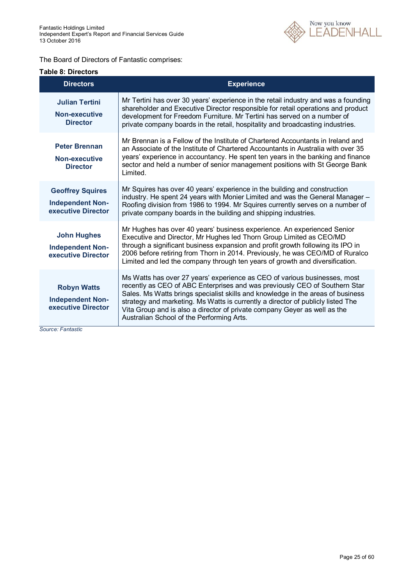

#### The Board of Directors of Fantastic comprises:

#### **Table 8: Directors**

| <b>Directors</b>                                                         | <b>Experience</b>                                                                                                                                                                                                                                                                                                                                                                                                                                       |
|--------------------------------------------------------------------------|---------------------------------------------------------------------------------------------------------------------------------------------------------------------------------------------------------------------------------------------------------------------------------------------------------------------------------------------------------------------------------------------------------------------------------------------------------|
| <b>Julian Tertini</b><br>Non-executive<br><b>Director</b>                | Mr Tertini has over 30 years' experience in the retail industry and was a founding<br>shareholder and Executive Director responsible for retail operations and product<br>development for Freedom Furniture. Mr Tertini has served on a number of<br>private company boards in the retail, hospitality and broadcasting industries.                                                                                                                     |
| <b>Peter Brennan</b><br>Non-executive<br><b>Director</b>                 | Mr Brennan is a Fellow of the Institute of Chartered Accountants in Ireland and<br>an Associate of the Institute of Chartered Accountants in Australia with over 35<br>years' experience in accountancy. He spent ten years in the banking and finance<br>sector and held a number of senior management positions with St George Bank<br>Limited.                                                                                                       |
| <b>Geoffrey Squires</b><br><b>Independent Non-</b><br>executive Director | Mr Squires has over 40 years' experience in the building and construction<br>industry. He spent 24 years with Monier Limited and was the General Manager -<br>Roofing division from 1986 to 1994. Mr Squires currently serves on a number of<br>private company boards in the building and shipping industries.                                                                                                                                         |
| <b>John Hughes</b><br><b>Independent Non-</b><br>executive Director      | Mr Hughes has over 40 years' business experience. An experienced Senior<br>Executive and Director, Mr Hughes led Thorn Group Limited as CEO/MD<br>through a significant business expansion and profit growth following its IPO in<br>2006 before retiring from Thorn in 2014. Previously, he was CEO/MD of Ruralco<br>Limited and led the company through ten years of growth and diversification.                                                      |
| <b>Robyn Watts</b><br><b>Independent Non-</b><br>executive Director      | Ms Watts has over 27 years' experience as CEO of various businesses, most<br>recently as CEO of ABC Enterprises and was previously CEO of Southern Star<br>Sales. Ms Watts brings specialist skills and knowledge in the areas of business<br>strategy and marketing. Ms Watts is currently a director of publicly listed The<br>Vita Group and is also a director of private company Geyer as well as the<br>Australian School of the Performing Arts. |

*Source: Fantastic*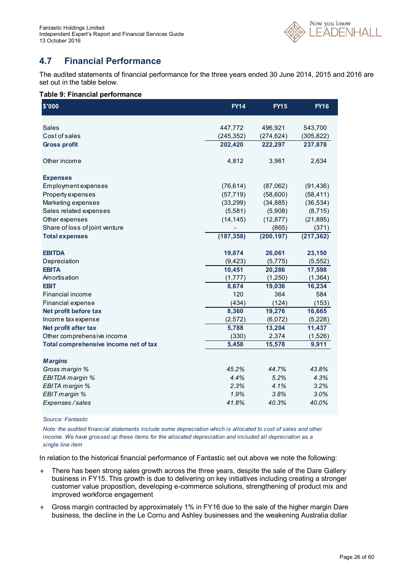

### **4.7 Financial Performance**

The audited statements of financial performance for the three years ended 30 June 2014, 2015 and 2016 are set out in the table below.

#### **Table 9: Financial performance**

| \$'000                                | <b>FY14</b> | <b>FY15</b> | <b>FY16</b> |
|---------------------------------------|-------------|-------------|-------------|
| Sales                                 | 447,772     | 496,921     | 543,700     |
| Cost of sales                         | (245, 352)  | (274, 624)  | (305, 822)  |
| <b>Gross profit</b>                   | 202,420     | 222,297     | 237,878     |
| Other income                          | 4,812       | 3,961       | 2,634       |
| <b>Expenses</b>                       |             |             |             |
| Employment expenses                   | (76, 614)   | (87,062)    | (91, 436)   |
| Property expenses                     | (57, 719)   | (58,600)    | (58, 411)   |
| Marketing expenses                    | (33, 299)   | (34, 885)   | (36, 534)   |
| Sales related expenses                | (5,581)     | (5,908)     | (8, 715)    |
| Other expenses                        | (14, 145)   | (12, 877)   | (21, 895)   |
| Share of loss of joint venture        |             | (865)       | (371)       |
| <b>Total expenses</b>                 | (187, 358)  | (200, 197)  | (217, 362)  |
| <b>EBITDA</b>                         | 19,874      | 26,061      | 23,150      |
| Depreciation                          | (9, 423)    | (5,775)     | (5, 552)    |
| <b>EBITA</b>                          | 10,451      | 20,286      | 17,598      |
| Amortisation                          | (1,777)     | (1,250)     | (1, 364)    |
| <b>EBIT</b>                           | 8,674       | 19,036      | 16,234      |
| Financial income                      | 120         | 364         | 584         |
| Financial expense                     | (434)       | (124)       | (153)       |
| Net profit before tax                 | 8,360       | 19,276      | 16,665      |
| Income tax expense                    | (2, 572)    | (6,072)     | (5,228)     |
| Net profit after tax                  | 5,788       | 13,204      | 11,437      |
| Other comprehensive income            | (330)       | 2,374       | (1,526)     |
| Total comprehensive income net of tax | 5,458       | 15,578      | 9,911       |
| <b>Margins</b>                        |             |             |             |
| Gross margin %                        | 45.2%       | 44.7%       | 43.8%       |
| EBITDA margin %                       | 4.4%        | 5.2%        | 4.3%        |
| EBITA margin %                        | 2.3%        | 4.1%        | 3.2%        |
| EBIT margin %                         | 1.9%        | 3.8%        | 3.0%        |
| Expenses / sales                      | 41.8%       | 40.3%       | 40.0%       |

*Source: Fantastic*

*Note: the audited financial statements include some depreciation which is allocated to cost of sales and other income. We have grossed up these items for the allocated depreciation and included all depreciation as a single line item*

In relation to the historical financial performance of Fantastic set out above we note the following:

- There has been strong sales growth across the three years, despite the sale of the Dare Gallery business in FY15. This growth is due to delivering on key initiatives including creating a stronger customer value proposition, developing e-commerce solutions, strengthening of product mix and improved workforce engagement
- Gross margin contracted by approximately 1% in FY16 due to the sale of the higher margin Dare business, the decline in the Le Cornu and Ashley businesses and the weakening Australia dollar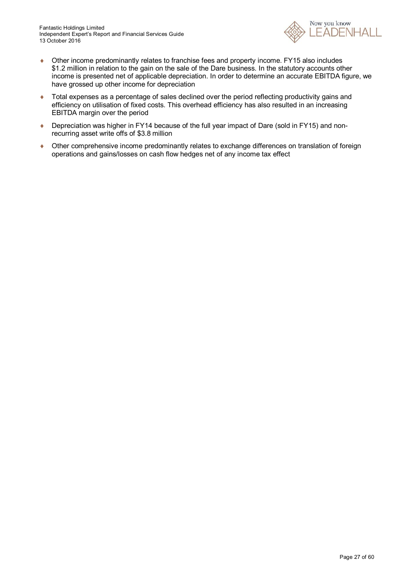

- Other income predominantly relates to franchise fees and property income. FY15 also includes \$1.2 million in relation to the gain on the sale of the Dare business. In the statutory accounts other income is presented net of applicable depreciation. In order to determine an accurate EBITDA figure, we have grossed up other income for depreciation
- Total expenses as a percentage of sales declined over the period reflecting productivity gains and efficiency on utilisation of fixed costs. This overhead efficiency has also resulted in an increasing EBITDA margin over the period
- ◆ Depreciation was higher in FY14 because of the full year impact of Dare (sold in FY15) and nonrecurring asset write offs of \$3.8 million
- Other comprehensive income predominantly relates to exchange differences on translation of foreign operations and gains/losses on cash flow hedges net of any income tax effect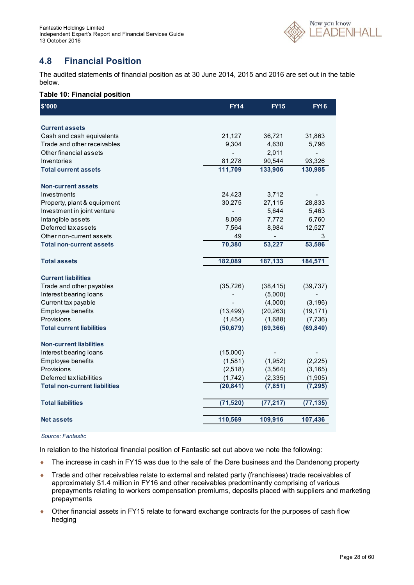

### **4.8 Financial Position**

The audited statements of financial position as at 30 June 2014, 2015 and 2016 are set out in the table below.

#### **Table 10: Financial position**

| \$'000                               | <b>FY14</b>    | <b>FY15</b> | <b>FY16</b>    |
|--------------------------------------|----------------|-------------|----------------|
| <b>Current assets</b>                |                |             |                |
| Cash and cash equivalents            | 21,127         | 36,721      | 31,863         |
| Trade and other receivables          | 9,304          | 4,630       | 5,796          |
| Other financial assets               |                | 2,011       | $\blacksquare$ |
| Inventories                          | 81,278         | 90,544      | 93,326         |
| <b>Total current assets</b>          | 111,709        | 133,906     | 130,985        |
| <b>Non-current assets</b>            |                |             |                |
| Investments                          | 24,423         | 3,712       |                |
| Property, plant & equipment          | 30,275         | 27,115      | 28,833         |
| Investment in joint venture          | $\overline{a}$ | 5,644       | 5,463          |
| Intangible assets                    | 8,069          | 7,772       | 6,760          |
| Deferred tax assets                  | 7,564          | 8,984       | 12,527         |
| Other non-current assets             | 49             |             | 3              |
| <b>Total non-current assets</b>      | 70,380         | 53,227      | 53,586         |
| <b>Total assets</b>                  | 182,089        | 187,133     | 184,571        |
|                                      |                |             |                |
| <b>Current liabilities</b>           |                |             |                |
| Trade and other payables             | (35, 726)      | (38, 415)   | (39, 737)      |
| Interest bearing loans               |                | (5,000)     |                |
| Current tax payable                  |                | (4,000)     | (3, 196)       |
| Employee benefits                    | (13, 499)      | (20, 263)   | (19, 171)      |
| Provisions                           | (1, 454)       | (1,688)     | (7, 736)       |
| <b>Total current liabilities</b>     | (50, 679)      | (69, 366)   | (69, 840)      |
| <b>Non-current liabilities</b>       |                |             |                |
| Interest bearing loans               | (15,000)       |             |                |
| Employee benefits                    | (1,581)        | (1,952)     | (2, 225)       |
| Provisions                           | (2,518)        | (3, 564)    | (3, 165)       |
| Deferred tax liabilities             | (1,742)        | (2, 335)    | (1,905)        |
| <b>Total non-current liabilities</b> | (20, 841)      | (7, 851)    | (7, 295)       |
| <b>Total liabilities</b>             | (71, 520)      | (77, 217)   | (77, 135)      |
| <b>Net assets</b>                    | 110,569        | 109,916     | 107,436        |
|                                      |                |             |                |

#### *Source: Fantastic*

In relation to the historical financial position of Fantastic set out above we note the following:

- ◆ The increase in cash in FY15 was due to the sale of the Dare business and the Dandenong property
- Trade and other receivables relate to external and related party (franchisees) trade receivables of approximately \$1.4 million in FY16 and other receivables predominantly comprising of various prepayments relating to workers compensation premiums, deposits placed with suppliers and marketing prepayments
- Other financial assets in FY15 relate to forward exchange contracts for the purposes of cash flow hedging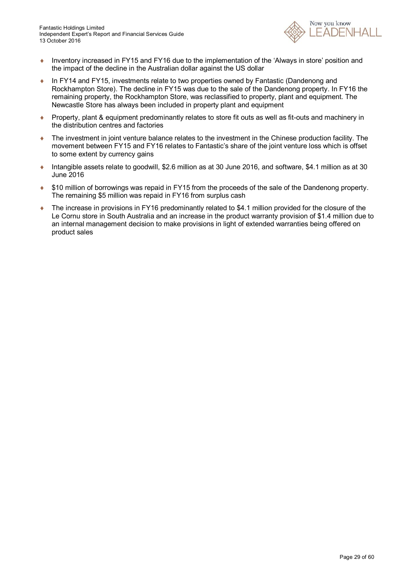

- Inventory increased in FY15 and FY16 due to the implementation of the 'Always in store' position and the impact of the decline in the Australian dollar against the US dollar
- In FY14 and FY15, investments relate to two properties owned by Fantastic (Dandenong and Rockhampton Store). The decline in FY15 was due to the sale of the Dandenong property. In FY16 the remaining property, the Rockhampton Store, was reclassified to property, plant and equipment. The Newcastle Store has always been included in property plant and equipment
- ◆ Property, plant & equipment predominantly relates to store fit outs as well as fit-outs and machinery in the distribution centres and factories
- The investment in joint venture balance relates to the investment in the Chinese production facility. The movement between FY15 and FY16 relates to Fantastic's share of the joint venture loss which is offset to some extent by currency gains
- Intangible assets relate to goodwill, \$2.6 million as at 30 June 2016, and software, \$4.1 million as at 30 June 2016
- \$10 million of borrowings was repaid in FY15 from the proceeds of the sale of the Dandenong property. The remaining \$5 million was repaid in FY16 from surplus cash
- ◆ The increase in provisions in FY16 predominantly related to \$4.1 million provided for the closure of the Le Cornu store in South Australia and an increase in the product warranty provision of \$1.4 million due to an internal management decision to make provisions in light of extended warranties being offered on product sales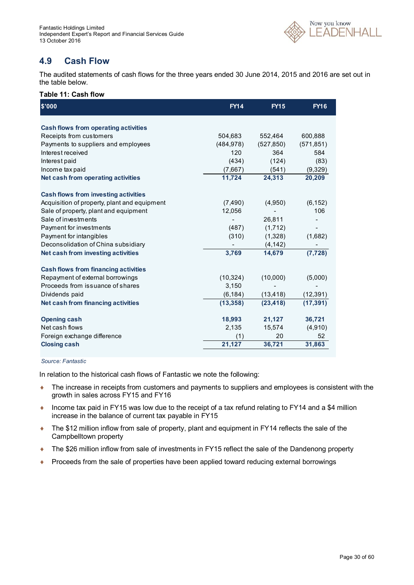

### **4.9 Cash Flow**

The audited statements of cash flows for the three years ended 30 June 2014, 2015 and 2016 are set out in the table below.

#### **Table 11: Cash flow**

| \$'000                                       | <b>FY14</b> | <b>FY15</b> | <b>FY16</b>              |
|----------------------------------------------|-------------|-------------|--------------------------|
| <b>Cash flows from operating activities</b>  |             |             |                          |
| Receipts from customers                      | 504,683     | 552,464     | 600,888                  |
| Payments to suppliers and employees          | (484, 978)  | (527, 850)  | (571, 851)               |
| Interest received                            | 120         | 364         | 584                      |
| Interest paid                                | (434)       | (124)       | (83)                     |
| Income tax paid                              | (7,667)     | (541)       | (9,329)                  |
| Net cash from operating activities           | 11,724      | 24,313      | 20,209                   |
| <b>Cash flows from investing activities</b>  |             |             |                          |
| Acquisition of property, plant and equipment | (7, 490)    | (4,950)     | (6, 152)                 |
| Sale of property, plant and equipment        | 12,056      |             | 106                      |
| Sale of investments                          |             | 26,811      |                          |
| Payment for investments                      | (487)       | (1,712)     | $\overline{\phantom{a}}$ |
| Payment for intangibles                      | (310)       | (1,328)     | (1,682)                  |
| Deconsolidation of China subsidiary          |             | (4, 142)    |                          |
| Net cash from investing activities           | 3,769       | 14,679      | (7, 728)                 |
| <b>Cash flows from financing activities</b>  |             |             |                          |
| Repayment of external borrowings             | (10, 324)   | (10,000)    | (5,000)                  |
| Proceeds from issuance of shares             | 3,150       |             |                          |
| Dividends paid                               | (6, 184)    | (13, 418)   | (12, 391)                |
| Net cash from financing activities           | (13, 358)   | (23, 418)   | (17, 391)                |
| <b>Opening cash</b>                          | 18,993      | 21,127      | 36,721                   |
| Net cash flows                               | 2,135       | 15,574      | (4,910)                  |
| Foreign exchange difference                  | (1)         | 20          | 52                       |
| <b>Closing cash</b>                          | 21,127      | 36,721      | 31,863                   |

#### *Source: Fantastic*

In relation to the historical cash flows of Fantastic we note the following:

- The increase in receipts from customers and payments to suppliers and employees is consistent with the growth in sales across FY15 and FY16
- ♦ Income tax paid in FY15 was low due to the receipt of a tax refund relating to FY14 and a \$4 million increase in the balance of current tax payable in FY15
- ◆ The \$12 million inflow from sale of property, plant and equipment in FY14 reflects the sale of the Campbelltown property
- ◆ The \$26 million inflow from sale of investments in FY15 reflect the sale of the Dandenong property
- Proceeds from the sale of properties have been applied toward reducing external borrowings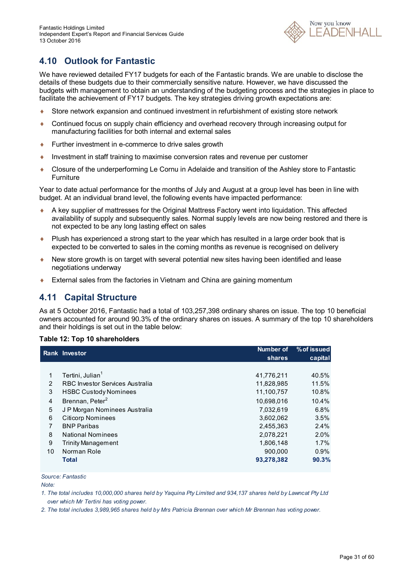

### **4.10 Outlook for Fantastic**

We have reviewed detailed FY17 budgets for each of the Fantastic brands. We are unable to disclose the details of these budgets due to their commercially sensitive nature. However, we have discussed the budgets with management to obtain an understanding of the budgeting process and the strategies in place to facilitate the achievement of FY17 budgets. The key strategies driving growth expectations are:

- Store network expansion and continued investment in refurbishment of existing store network
- Continued focus on supply chain efficiency and overhead recovery through increasing output for manufacturing facilities for both internal and external sales
- ◆ Further investment in e-commerce to drive sales growth
- Investment in staff training to maximise conversion rates and revenue per customer
- Closure of the underperforming Le Cornu in Adelaide and transition of the Ashley store to Fantastic **Furniture**

Year to date actual performance for the months of July and August at a group level has been in line with budget. At an individual brand level, the following events have impacted performance:

- A key supplier of mattresses for the Original Mattress Factory went into liquidation. This affected availability of supply and subsequently sales. Normal supply levels are now being restored and there is not expected to be any long lasting effect on sales
- Plush has experienced a strong start to the year which has resulted in a large order book that is expected to be converted to sales in the coming months as revenue is recognised on delivery
- New store growth is on target with several potential new sites having been identified and lease negotiations underway
- External sales from the factories in Vietnam and China are gaining momentum

### **4.11 Capital Structure**

As at 5 October 2016, Fantastic had a total of 103,257,398 ordinary shares on issue. The top 10 beneficial owners accounted for around 90.3% of the ordinary shares on issues. A summary of the top 10 shareholders and their holdings is set out in the table below:

#### **Table 12: Top 10 shareholders**

|    | <b>Rank Investor</b>            | Number of  | % of issued |
|----|---------------------------------|------------|-------------|
|    |                                 | shares     | capital     |
|    |                                 |            |             |
| 1  | Tertini, Julian <sup>1</sup>    | 41,776,211 | 40.5%       |
| 2  | RBC Investor Services Australia | 11,828,985 | 11.5%       |
| 3  | <b>HSBC Custody Nominees</b>    | 11,100,757 | 10.8%       |
| 4  | Brennan, Peter <sup>2</sup>     | 10,698,016 | 10.4%       |
| 5  | J P Morgan Nominees Australia   | 7.032.619  | 6.8%        |
| 6  | <b>Citicorp Nominees</b>        | 3,602,062  | 3.5%        |
| 7  | <b>BNP Paribas</b>              | 2,455,363  | 2.4%        |
| 8  | <b>National Nominees</b>        | 2.078.221  | 2.0%        |
| 9  | <b>Trinity Management</b>       | 1,806,148  | 1.7%        |
| 10 | Norman Role                     | 900.000    | 0.9%        |
|    | <b>Total</b>                    | 93,278,382 | 90.3%       |

*Source: Fantastic*

*Note:*

*1. The total includes 10,000,000 shares held by Yaquina Pty Limited and 934,137 shares held by Lawncat Pty Ltd over which Mr Tertini has voting power.*

*2. The total includes 3,989,965 shares held by Mrs Patricia Brennan over which Mr Brennan has voting power.*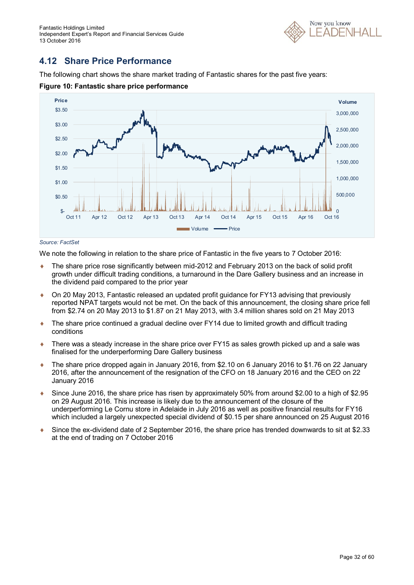

### **4.12 Share Price Performance**

The following chart shows the share market trading of Fantastic shares for the past five years:



**Figure 10: Fantastic share price performance**

#### *Source: FactSet*

We note the following in relation to the share price of Fantastic in the five years to 7 October 2016:

- The share price rose significantly between mid-2012 and February 2013 on the back of solid profit growth under difficult trading conditions, a turnaround in the Dare Gallery business and an increase in the dividend paid compared to the prior year
- On 20 May 2013, Fantastic released an updated profit guidance for FY13 advising that previously reported NPAT targets would not be met. On the back of this announcement, the closing share price fell from \$2.74 on 20 May 2013 to \$1.87 on 21 May 2013, with 3.4 million shares sold on 21 May 2013
- ◆ The share price continued a gradual decline over FY14 due to limited growth and difficult trading conditions
- ◆ There was a steady increase in the share price over FY15 as sales growth picked up and a sale was finalised for the underperforming Dare Gallery business
- The share price dropped again in January 2016, from \$2.10 on 6 January 2016 to \$1.76 on 22 January 2016, after the announcement of the resignation of the CFO on 18 January 2016 and the CEO on 22 January 2016
- Since June 2016, the share price has risen by approximately 50% from around \$2.00 to a high of \$2.95 on 29 August 2016. This increase is likely due to the announcement of the closure of the underperforming Le Cornu store in Adelaide in July 2016 as well as positive financial results for FY16 which included a largely unexpected special dividend of \$0.15 per share announced on 25 August 2016
- Since the ex-dividend date of 2 September 2016, the share price has trended downwards to sit at \$2.33 at the end of trading on 7 October 2016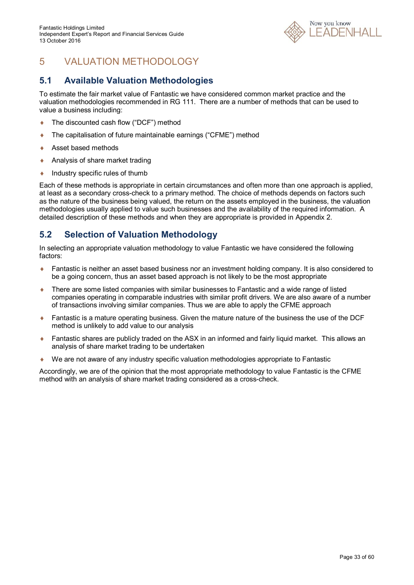

# 5 VALUATION METHODOLOGY

### **5.1 Available Valuation Methodologies**

To estimate the fair market value of Fantastic we have considered common market practice and the valuation methodologies recommended in RG 111. There are a number of methods that can be used to value a business including:

- ◆ The discounted cash flow ("DCF") method
- ◆ The capitalisation of future maintainable earnings ("CFME") method
- ◆ Asset based methods
- ◆ Analysis of share market trading
- Industry specific rules of thumb

Each of these methods is appropriate in certain circumstances and often more than one approach is applied, at least as a secondary cross-check to a primary method. The choice of methods depends on factors such as the nature of the business being valued, the return on the assets employed in the business, the valuation methodologies usually applied to value such businesses and the availability of the required information. A detailed description of these methods and when they are appropriate is provided in Appendix 2.

### **5.2 Selection of Valuation Methodology**

In selecting an appropriate valuation methodology to value Fantastic we have considered the following factors:

- ◆ Fantastic is neither an asset based business nor an investment holding company. It is also considered to be a going concern, thus an asset based approach is not likely to be the most appropriate
- There are some listed companies with similar businesses to Fantastic and a wide range of listed companies operating in comparable industries with similar profit drivers. We are also aware of a number of transactions involving similar companies. Thus we are able to apply the CFME approach
- Fantastic is a mature operating business. Given the mature nature of the business the use of the DCF method is unlikely to add value to our analysis
- Fantastic shares are publicly traded on the ASX in an informed and fairly liquid market. This allows an analysis of share market trading to be undertaken
- We are not aware of any industry specific valuation methodologies appropriate to Fantastic

Accordingly, we are of the opinion that the most appropriate methodology to value Fantastic is the CFME method with an analysis of share market trading considered as a cross-check.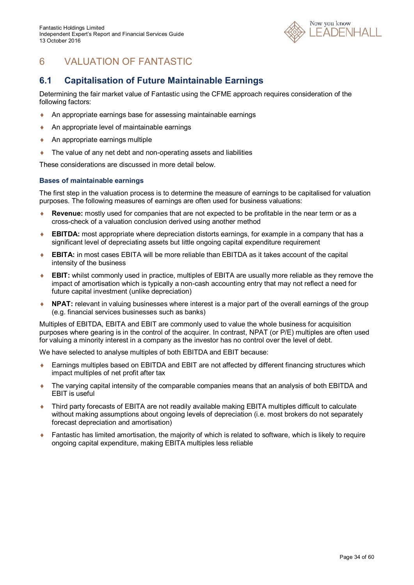

# 6 VALUATION OF FANTASTIC

### **6.1 Capitalisation of Future Maintainable Earnings**

Determining the fair market value of Fantastic using the CFME approach requires consideration of the following factors:

- An appropriate earnings base for assessing maintainable earnings
- An appropriate level of maintainable earnings
- ◆ An appropriate earnings multiple
- ◆ The value of any net debt and non-operating assets and liabilities

These considerations are discussed in more detail below.

#### **Bases of maintainable earnings**

The first step in the valuation process is to determine the measure of earnings to be capitalised for valuation purposes. The following measures of earnings are often used for business valuations:

- **Revenue:** mostly used for companies that are not expected to be profitable in the near term or as a cross-check of a valuation conclusion derived using another method
- ◆ **EBITDA:** most appropriate where depreciation distorts earnings, for example in a company that has a significant level of depreciating assets but little ongoing capital expenditure requirement
- **EBITA:** in most cases EBITA will be more reliable than EBITDA as it takes account of the capital intensity of the business
- **EBIT:** whilst commonly used in practice, multiples of EBITA are usually more reliable as they remove the impact of amortisation which is typically a non-cash accounting entry that may not reflect a need for future capital investment (unlike depreciation)
- **NPAT:** relevant in valuing businesses where interest is a major part of the overall earnings of the group (e.g. financial services businesses such as banks)

Multiples of EBITDA, EBITA and EBIT are commonly used to value the whole business for acquisition purposes where gearing is in the control of the acquirer. In contrast, NPAT (or P/E) multiples are often used for valuing a minority interest in a company as the investor has no control over the level of debt.

We have selected to analyse multiples of both EBITDA and EBIT because:

- ◆ Earnings multiples based on EBITDA and EBIT are not affected by different financing structures which impact multiples of net profit after tax
- The varying capital intensity of the comparable companies means that an analysis of both EBITDA and EBIT is useful
- Third party forecasts of EBITA are not readily available making EBITA multiples difficult to calculate without making assumptions about ongoing levels of depreciation (i.e. most brokers do not separately forecast depreciation and amortisation)
- ◆ Fantastic has limited amortisation, the majority of which is related to software, which is likely to require ongoing capital expenditure, making EBITA multiples less reliable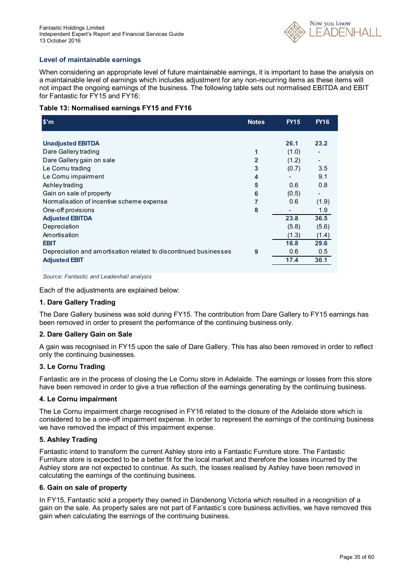

#### **Level of maintainable earnings**

When considering an appropriate level of future maintainable earnings, it is important to base the analysis on a maintainable level of earnings which includes adjustment for any non-recurring items as these items will not impact the ongoing earnings of the business. The following table sets out normalised EBITDA and EBIT for Fantastic for FY15 and FY16:

#### **Table 13: Normalised earnings FY15 and FY16**

| \$'m                                                             | <b>Notes</b>   | <b>FY15</b> | <b>FY16</b>              |
|------------------------------------------------------------------|----------------|-------------|--------------------------|
|                                                                  |                |             |                          |
| <b>Unadjusted EBITDA</b>                                         |                | 26.1        | 23.2                     |
| Dare Gallery trading                                             | 1              | (1.0)       |                          |
| Dare Gallery gain on sale                                        | $\overline{2}$ | (1.2)       | $\overline{\phantom{a}}$ |
| Le Cornu trading                                                 | 3              | (0.7)       | 3.5                      |
| Le Cornu impairment                                              | 4              |             | 9.1                      |
| Ashley trading                                                   | 5              | 0.6         | 0.8                      |
| Gain on sale of property                                         | 6              | (0.5)       |                          |
| Normalisation of incentive scheme expense                        | 7              | 0.6         | (1.9)                    |
| One-off provisions                                               | 8              |             | 1.9                      |
| <b>Adjusted EBITDA</b>                                           |                | 23.8        | 36.5                     |
| Depreciation                                                     |                | (5.8)       | (5.6)                    |
| Amortisation                                                     |                | (1.3)       | (1.4)                    |
| <b>EBIT</b>                                                      |                | 16.8        | 29.6                     |
| Depreciation and amortisation related to discontinued businesses | 9              | 0.6         | 0.5                      |
| <b>Adjusted EBIT</b>                                             |                | 17.4        | 30.1                     |

*Source: Fantastic and Leadenhall analysis*

Each of the adjustments are explained below:

#### **1. Dare Gallery Trading**

The Dare Gallery business was sold during FY15. The contribution from Dare Gallery to FY15 earnings has been removed in order to present the performance of the continuing business only.

#### **2. Dare Gallery Gain on Sale**

A gain was recognised in FY15 upon the sale of Dare Gallery. This has also been removed in order to reflect only the continuing businesses.

#### **3. Le Cornu Trading**

Fantastic are in the process of closing the Le Cornu store in Adelaide. The earnings or losses from this store have been removed in order to give a true reflection of the earnings generating by the continuing business.

#### **4. Le Cornu impairment**

The Le Cornu impairment charge recognised in FY16 related to the closure of the Adelaide store which is considered to be a one-off impairment expense. In order to represent the earnings of the continuing business we have removed the impact of this impairment expense.

#### **5. Ashley Trading**

Fantastic intend to transform the current Ashley store into a Fantastic Furniture store. The Fantastic Furniture store is expected to be a better fit for the local market and therefore the losses incurred by the Ashley store are not expected to continue. As such, the losses realised by Ashley have been removed in calculating the earnings of the continuing business.

#### **6. Gain on sale of property**

In FY15, Fantastic sold a property they owned in Dandenong Victoria which resulted in a recognition of a gain on the sale. As property sales are not part of Fantastic's core business activities, we have removed this gain when calculating the earnings of the continuing business.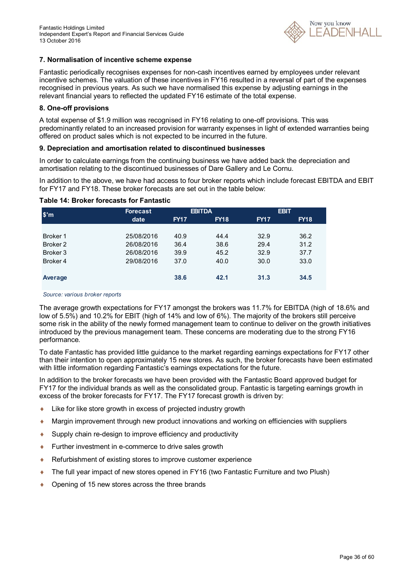

#### **7. Normalisation of incentive scheme expense**

Fantastic periodically recognises expenses for non-cash incentives earned by employees under relevant incentive schemes. The valuation of these incentives in FY16 resulted in a reversal of part of the expenses recognised in previous years. As such we have normalised this expense by adjusting earnings in the relevant financial years to reflected the updated FY16 estimate of the total expense.

#### **8. One-off provisions**

A total expense of \$1.9 million was recognised in FY16 relating to one-off provisions. This was predominantly related to an increased provision for warranty expenses in light of extended warranties being offered on product sales which is not expected to be incurred in the future.

#### **9. Depreciation and amortisation related to discontinued businesses**

In order to calculate earnings from the continuing business we have added back the depreciation and amortisation relating to the discontinued businesses of Dare Gallery and Le Cornu.

In addition to the above, we have had access to four broker reports which include forecast EBITDA and EBIT for FY17 and FY18. These broker forecasts are set out in the table below:

| $\sin$              | <b>Forecast</b> |             | <b>EBITDA</b> |             | <b>EBIT</b> |
|---------------------|-----------------|-------------|---------------|-------------|-------------|
|                     | date            | <b>FY17</b> | <b>FY18</b>   | <b>FY17</b> | <b>FY18</b> |
|                     |                 |             |               |             |             |
| Broker 1            | 25/08/2016      | 40.9        | 44.4          | 32.9        | 36.2        |
| Broker <sub>2</sub> | 26/08/2016      | 36.4        | 38.6          | 29.4        | 31.2        |
| Broker 3            | 26/08/2016      | 39.9        | 45.2          | 32.9        | 37.7        |
| Broker 4            | 29/08/2016      | 37.0        | 40.0          | 30.0        | 33.0        |
|                     |                 |             |               |             |             |
| Average             |                 | 38.6        | 42.1          | 31.3        | 34.5        |
|                     |                 |             |               |             |             |

#### **Table 14: Broker forecasts for Fantastic**

#### *Source: various broker reports*

The average growth expectations for FY17 amongst the brokers was 11.7% for EBITDA (high of 18.6% and low of 5.5%) and 10.2% for EBIT (high of 14% and low of 6%). The majority of the brokers still perceive some risk in the ability of the newly formed management team to continue to deliver on the growth initiatives introduced by the previous management team. These concerns are moderating due to the strong FY16 performance.

To date Fantastic has provided little guidance to the market regarding earnings expectations for FY17 other than their intention to open approximately 15 new stores. As such, the broker forecasts have been estimated with little information regarding Fantastic's earnings expectations for the future.

In addition to the broker forecasts we have been provided with the Fantastic Board approved budget for FY17 for the individual brands as well as the consolidated group. Fantastic is targeting earnings growth in excess of the broker forecasts for FY17. The FY17 forecast growth is driven by:

- Like for like store growth in excess of projected industry growth
- Margin improvement through new product innovations and working on efficiencies with suppliers
- ◆ Supply chain re-design to improve efficiency and productivity
- ◆ Further investment in e-commerce to drive sales growth
- ◆ Refurbishment of existing stores to improve customer experience
- The full year impact of new stores opened in FY16 (two Fantastic Furniture and two Plush)
- Opening of 15 new stores across the three brands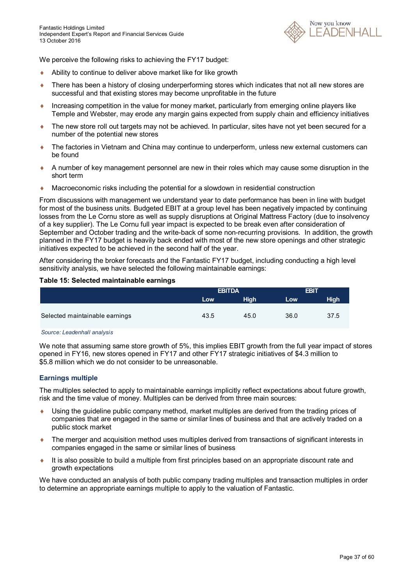

We perceive the following risks to achieving the FY17 budget:

- Ability to continue to deliver above market like for like growth
- ◆ There has been a history of closing underperforming stores which indicates that not all new stores are successful and that existing stores may become unprofitable in the future
- Increasing competition in the value for money market, particularly from emerging online players like Temple and Webster, may erode any margin gains expected from supply chain and efficiency initiatives
- The new store roll out targets may not be achieved. In particular, sites have not yet been secured for a number of the potential new stores
- The factories in Vietnam and China may continue to underperform, unless new external customers can be found
- A number of key management personnel are new in their roles which may cause some disruption in the short term
- Macroeconomic risks including the potential for a slowdown in residential construction

From discussions with management we understand year to date performance has been in line with budget for most of the business units. Budgeted EBIT at a group level has been negatively impacted by continuing losses from the Le Cornu store as well as supply disruptions at Original Mattress Factory (due to insolvency of a key supplier). The Le Cornu full year impact is expected to be break even after consideration of September and October trading and the write-back of some non-recurring provisions. In addition, the growth planned in the FY17 budget is heavily back ended with most of the new store openings and other strategic initiatives expected to be achieved in the second half of the year.

After considering the broker forecasts and the Fantastic FY17 budget, including conducting a high level sensitivity analysis, we have selected the following maintainable earnings:

#### **Table 15: Selected maintainable earnings**

|                                | <b>EBITDA</b> |             | <b>EBIT</b> |             |
|--------------------------------|---------------|-------------|-------------|-------------|
|                                | Low           | <b>High</b> | Low         | <b>High</b> |
|                                |               |             |             |             |
| Selected maintainable earnings | 43.5          | 45.0        | 36.0        | 37.5        |

*Source: Leadenhall analysis*

We note that assuming same store growth of 5%, this implies EBIT growth from the full year impact of stores opened in FY16, new stores opened in FY17 and other FY17 strategic initiatives of \$4.3 million to \$5.8 million which we do not consider to be unreasonable.

#### **Earnings multiple**

The multiples selected to apply to maintainable earnings implicitly reflect expectations about future growth, risk and the time value of money. Multiples can be derived from three main sources:

- Using the guideline public company method, market multiples are derived from the trading prices of companies that are engaged in the same or similar lines of business and that are actively traded on a public stock market
- The merger and acquisition method uses multiples derived from transactions of significant interests in companies engaged in the same or similar lines of business
- $\bullet$  It is also possible to build a multiple from first principles based on an appropriate discount rate and growth expectations

We have conducted an analysis of both public company trading multiples and transaction multiples in order to determine an appropriate earnings multiple to apply to the valuation of Fantastic.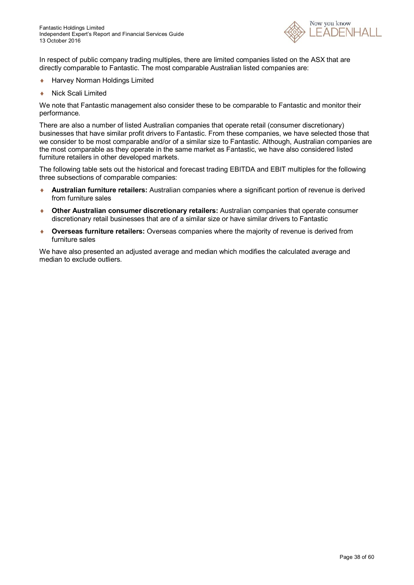

In respect of public company trading multiples, there are limited companies listed on the ASX that are directly comparable to Fantastic. The most comparable Australian listed companies are:

- ◆ Harvey Norman Holdings Limited
- Nick Scali Limited

We note that Fantastic management also consider these to be comparable to Fantastic and monitor their performance.

There are also a number of listed Australian companies that operate retail (consumer discretionary) businesses that have similar profit drivers to Fantastic. From these companies, we have selected those that we consider to be most comparable and/or of a similar size to Fantastic. Although, Australian companies are the most comparable as they operate in the same market as Fantastic, we have also considered listed furniture retailers in other developed markets.

The following table sets out the historical and forecast trading EBITDA and EBIT multiples for the following three subsections of comparable companies:

- **Australian furniture retailers:** Australian companies where a significant portion of revenue is derived from furniture sales
- **Other Australian consumer discretionary retailers:** Australian companies that operate consumer discretionary retail businesses that are of a similar size or have similar drivers to Fantastic
- **Overseas furniture retailers:** Overseas companies where the majority of revenue is derived from furniture sales

We have also presented an adjusted average and median which modifies the calculated average and median to exclude outliers.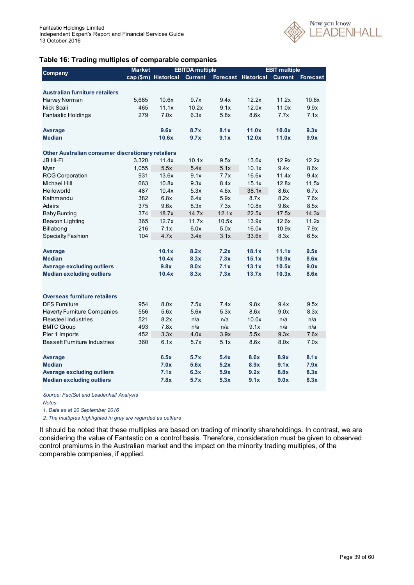

#### **Table 16: Trading multiples of comparable companies**

|                                                   | <b>Market</b> |                      | <b>EBITDA</b> multiple |       |                            | <b>EBIT multiple</b> |                 |
|---------------------------------------------------|---------------|----------------------|------------------------|-------|----------------------------|----------------------|-----------------|
| Company                                           |               | cap (\$m) Historical | <b>Current</b>         |       | <b>Forecast Historical</b> | <b>Current</b>       | <b>Forecast</b> |
|                                                   |               |                      |                        |       |                            |                      |                 |
| Australian furniture retailers                    |               |                      |                        |       |                            |                      |                 |
| Harvey Norman                                     | 5,685         | 10.6x                | 9.7x                   | 9.4x  | 12.2x                      | 11.2x                | 10.8x           |
| Nick Scali                                        | 465           | 11.1x                | 10.2x                  | 9.1x  | 12.0x                      | 11.0x                | 9.9x            |
| Fantastic Holdings                                | 279           | 7.0x                 | 6.3x                   | 5.8x  | 8.6x                       | 7.7x                 | 7.1x            |
|                                                   |               |                      |                        |       |                            |                      |                 |
| Average                                           |               | 9.6x                 | 8.7x                   | 8.1x  | 11.0x                      | 10.0x                | 9.3x            |
| <b>Median</b>                                     |               | 10.6x                | 9.7x                   | 9.1x  | 12.0x                      | 11.0x                | 9.9x            |
|                                                   |               |                      |                        |       |                            |                      |                 |
| Other Australian consumer discretionary retailers |               |                      |                        |       |                            |                      |                 |
| JB Hi-Fi                                          | 3,320         | 11.4x                | 10.1x                  | 9.5x  | 13.6x                      | 12.9x                | 12.2x           |
| Myer                                              | 1,055         | 5.5x                 | 5.4x                   | 5.1x  | 10.1x                      | 9.4x                 | 8.6x            |
| <b>RCG Corporation</b>                            | 931           | 13.6x                | 9.1x                   | 7.7x  | 16.6x                      | 11.4x                | 9.4x            |
| Michael Hill                                      | 663           | 10.8x                | 9.3x                   | 8.4x  | 15.1x                      | 12.8x                | 11.5x           |
| Helloworld                                        | 487           | 10.4x                | 5.3x                   | 4.6x  | 38.1x                      | 8.6x                 | 6.7x            |
| Kathmandu                                         | 382           | 6.8x                 | 6.4x                   | 5.9x  | 8.7x                       | 8.2x                 | 7.6x            |
| Adairs                                            | 375           | 9.6x                 | 8.3x                   | 7.3x  | 10.8x                      | 9.6x                 | 8.5x            |
| Baby Bunting                                      | 374           | 18.7x                | 14.7x                  | 12.1x | 22.5x                      | 17.5x                | 14.3x           |
| Beacon Lighting                                   | 365           | 12.7x                | 11.7x                  | 10.5x | 13.9x                      | 12.6x                | 11.2x           |
| Billabong                                         | 216           | 7.1x                 | 6.0x                   | 5.0x  | 16.0x                      | 10.9x                | 7.9x            |
| <b>Specialty Fashion</b>                          | 104           | 4.7x                 | 3.4x                   | 3.1x  | 33.6x                      | 8.3x                 | 6.5x            |
|                                                   |               |                      |                        |       |                            |                      |                 |
| Average                                           |               | 10.1x                | 8.2x                   | 7.2x  | 18.1x                      | 11.1x                | 9.5x            |
| <b>Median</b>                                     |               | 10.4x                | 8.3x                   | 7.3x  | 15.1x                      | 10.9x                | 8.6x            |
| <b>Average excluding outliers</b>                 |               | 9.8x                 | 8.0x                   | 7.1x  | 13.1x                      | 10.5x                | 9.0x            |
| <b>Median excluding outliers</b>                  |               | 10.4x                | 8.3x                   | 7.3x  | 13.7x                      | 10.3x                | 8.6x            |
|                                                   |               |                      |                        |       |                            |                      |                 |
| <b>Overseas furniture retailers</b>               |               |                      |                        |       |                            |                      |                 |
| <b>DFS Furniture</b>                              | 954           | 8.0x                 | 7.5x                   | 7.4x  | 9.8x                       | 9.4x                 | 9.5x            |
| Haverty Furniture Companies                       | 556           | 5.6x                 | 5.6x                   | 5.3x  | 8.6x                       | 9.0x                 | 8.3x            |
| Flexsteel Industries                              | 521           | 8.2x                 | n/a                    | n/a   | 10.0x                      | n/a                  | n/a             |
| <b>BMTC Group</b>                                 | 493           | 7.8x                 | n/a                    | n/a   | 9.1x                       | n/a                  | n/a             |
| Pier 1 Imports                                    | 452           | 3.3x                 | 4.0x                   | 3.9x  | 5.5x                       | 9.3x                 | 7.6x            |
| <b>Bassett Furniture Industries</b>               | 360           | 6.1x                 | 5.7x                   | 5.1x  | 8.6x                       | 8.0x                 | 7.0x            |
|                                                   |               |                      |                        |       |                            |                      |                 |
| Average                                           |               | 6.5x                 | 5.7x                   | 5.4x  | 8.6x                       | 8.9x                 | 8.1x            |
| <b>Median</b>                                     |               | 7.0x                 | 5.6x                   | 5.2x  | 8.9x                       | 9.1x                 | 7.9x            |
| <b>Average excluding outliers</b>                 |               | 7.1x                 | 6.3x                   | 5.9x  | 9.2x                       | 8.8x                 | 8.3x            |
| <b>Median excluding outliers</b>                  |               | 7.8x                 | 5.7x                   | 5.3x  | 9.1x                       | 9.0x                 | 8.3x            |

*Source: FactSet and Leadenhall Analysis*

*Notes:*

*1. Data as at 20 September 2016*

*2. The multiples highlighted in grey are regarded as outliers*

It should be noted that these multiples are based on trading of minority shareholdings. In contrast, we are considering the value of Fantastic on a control basis. Therefore, consideration must be given to observed control premiums in the Australian market and the impact on the minority trading multiples, of the comparable companies, if applied.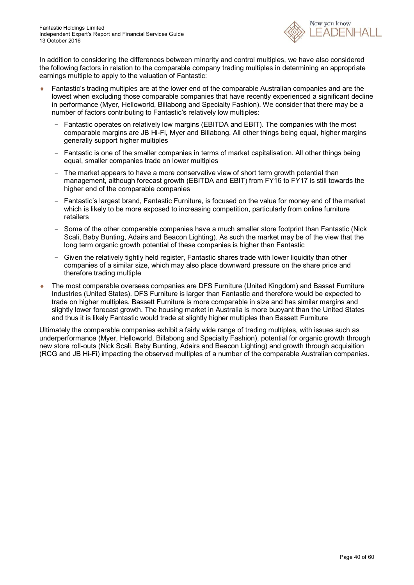

In addition to considering the differences between minority and control multiples, we have also considered the following factors in relation to the comparable company trading multiples in determining an appropriate earnings multiple to apply to the valuation of Fantastic:

- Fantastic's trading multiples are at the lower end of the comparable Australian companies and are the lowest when excluding those comparable companies that have recently experienced a significant decline in performance (Myer, Helloworld, Billabong and Specialty Fashion). We consider that there may be a number of factors contributing to Fantastic's relatively low multiples:
	- Fantastic operates on relatively low margins (EBITDA and EBIT). The companies with the most comparable margins are JB Hi-Fi, Myer and Billabong. All other things being equal, higher margins generally support higher multiples
	- Fantastic is one of the smaller companies in terms of market capitalisation. All other things being equal, smaller companies trade on lower multiples
	- The market appears to have a more conservative view of short term growth potential than management, although forecast growth (EBITDA and EBIT) from FY16 to FY17 is still towards the higher end of the comparable companies
	- Fantastic's largest brand, Fantastic Furniture, is focused on the value for money end of the market which is likely to be more exposed to increasing competition, particularly from online furniture retailers
	- Some of the other comparable companies have a much smaller store footprint than Fantastic (Nick Scali, Baby Bunting, Adairs and Beacon Lighting). As such the market may be of the view that the long term organic growth potential of these companies is higher than Fantastic
	- Given the relatively tightly held register, Fantastic shares trade with lower liquidity than other companies of a similar size, which may also place downward pressure on the share price and therefore trading multiple
- The most comparable overseas companies are DFS Furniture (United Kingdom) and Basset Furniture Industries (United States). DFS Furniture is larger than Fantastic and therefore would be expected to trade on higher multiples. Bassett Furniture is more comparable in size and has similar margins and slightly lower forecast growth. The housing market in Australia is more buoyant than the United States and thus it is likely Fantastic would trade at slightly higher multiples than Bassett Furniture

Ultimately the comparable companies exhibit a fairly wide range of trading multiples, with issues such as underperformance (Myer, Helloworld, Billabong and Specialty Fashion), potential for organic growth through new store roll-outs (Nick Scali, Baby Bunting, Adairs and Beacon Lighting) and growth through acquisition (RCG and JB Hi-Fi) impacting the observed multiples of a number of the comparable Australian companies.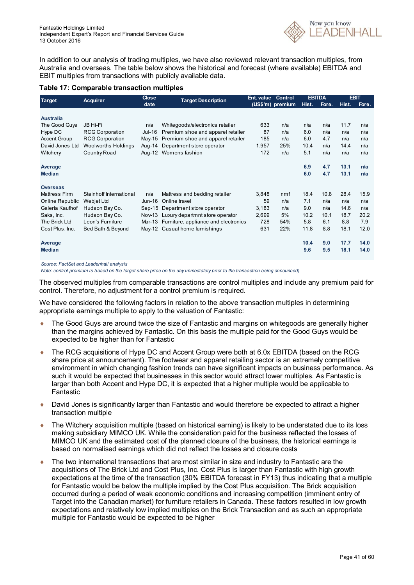

In addition to our analysis of trading multiples, we have also reviewed relevant transaction multiples, from Australia and overseas. The table below shows the historical and forecast (where available) EBITDA and EBIT multiples from transactions with publicly available data.

#### **Table 17: Comparable transaction multiples**

| <b>Target</b>        | <b>Acquirer</b>            | <b>Close</b> | <b>Target Description</b>              | Ent. value | Control          |       | <b>EBITDA</b> |       | <b>EBIT</b> |
|----------------------|----------------------------|--------------|----------------------------------------|------------|------------------|-------|---------------|-------|-------------|
|                      |                            | date         |                                        |            | (US\$'m) premium | Hist. | Fore.         | Hist. | Fore.       |
|                      |                            |              |                                        |            |                  |       |               |       |             |
| <b>Australia</b>     | JB Hi-Fi                   |              |                                        |            |                  |       |               | 11.7  |             |
| The Good Guys        |                            | n/a          | Whitegoods/electronics retailer        | 633        | n/a              | n/a   | n/a           |       | n/a         |
| Hype DC              | <b>RCG Corporation</b>     | Jul-16       | Premium shoe and apparel retailer      | 87         | n/a              | 6.0   | n/a           | n/a   | n/a         |
| <b>Accent Group</b>  | <b>RCG Corporation</b>     | Mav-15       | Premium shoe and apparel retailer      | 185        | n/a              | 6.0   | 4.7           | n/a   | n/a         |
| David Jones Ltd      | <b>Woolworths Holdings</b> | Aug-14       | Department store operator              | 1,957      | 25%              | 10.4  | n/a           | 14.4  | n/a         |
| Witchery             | Country Road               |              | Aug-12 Womens fashion                  | 172        | n/a              | 5.1   | n/a           | n/a   | n/a         |
| Average              |                            |              |                                        |            |                  | 6.9   | 4.7           | 13.1  | n/a         |
| <b>Median</b>        |                            |              |                                        |            |                  | 6.0   | 4.7           | 13.1  | n/a         |
| <b>Overseas</b>      |                            |              |                                        |            |                  |       |               |       |             |
| <b>Mattress Firm</b> | Steinhoff International    | n/a          | Mattress and bedding retailer          | 3,848      | nmf              | 18.4  | 10.8          | 28.4  | 15.9        |
| Online Republic      | Webjet Ltd                 | Jun-16       | Online travel                          | 59         | n/a              | 7.1   | n/a           | n/a   | n/a         |
| Galeria Kaufhof      | Hudson Bay Co.             |              | Sep-15 Department store operator       | 3,183      | n/a              | 9.0   | n/a           | 14.6  | n/a         |
| Saks, Inc.           | Hudson Bay Co.             |              | Nov-13 Luxury departmnt store operator | 2,699      | 5%               | 10.2  | 10.1          | 18.7  | 20.2        |
| The Brick Ltd        | Leon's Furniture           | Mar-13       | Furniture, appliance and electronics   | 728        | 54%              | 5.8   | 6.1           | 8.8   | 7.9         |
| Cost Plus, Inc.      | Bed Bath & Beyond          |              | May-12 Casual home furnishings         | 631        | 22%              | 11.8  | 8.8           | 18.1  | 12.0        |
| Average              |                            |              |                                        |            |                  | 10.4  | 9.0           | 17.7  | 14.0        |
| <b>Median</b>        |                            |              |                                        |            |                  | 9.6   | 9.5           | 18.1  | 14.0        |
|                      |                            |              |                                        |            |                  |       |               |       |             |

*Source: FactSet and Leadenhall analysis*

*Note: control premium is based on the target share price on the day immediately prior to the transaction being announced)*

The observed multiples from comparable transactions are control multiples and include any premium paid for control. Therefore, no adjustment for a control premium is required.

We have considered the following factors in relation to the above transaction multiples in determining appropriate earnings multiple to apply to the valuation of Fantastic:

- ◆ The Good Guys are around twice the size of Fantastic and margins on whitegoods are generally higher than the margins achieved by Fantastic. On this basis the multiple paid for the Good Guys would be expected to be higher than for Fantastic
- The RCG acquisitions of Hype DC and Accent Group were both at 6.0x EBITDA (based on the RCG share price at announcement). The footwear and apparel retailing sector is an extremely competitive environment in which changing fashion trends can have significant impacts on business performance. As such it would be expected that businesses in this sector would attract lower multiples. As Fantastic is larger than both Accent and Hype DC, it is expected that a higher multiple would be applicable to Fantastic
- David Jones is significantly larger than Fantastic and would therefore be expected to attract a higher transaction multiple
- ◆ The Witchery acquisition multiple (based on historical earning) is likely to be understated due to its loss making subsidiary MIMCO UK. While the consideration paid for the business reflected the losses of MIMCO UK and the estimated cost of the planned closure of the business, the historical earnings is based on normalised earnings which did not reflect the losses and closure costs
- The two international transactions that are most similar in size and industry to Fantastic are the acquisitions of The Brick Ltd and Cost Plus, Inc. Cost Plus is larger than Fantastic with high growth expectations at the time of the transaction (30% EBITDA forecast in FY13) thus indicating that a multiple for Fantastic would be below the multiple implied by the Cost Plus acquisition. The Brick acquisition occurred during a period of weak economic conditions and increasing competition (imminent entry of Target into the Canadian market) for furniture retailers in Canada. These factors resulted in low growth expectations and relatively low implied multiples on the Brick Transaction and as such an appropriate multiple for Fantastic would be expected to be higher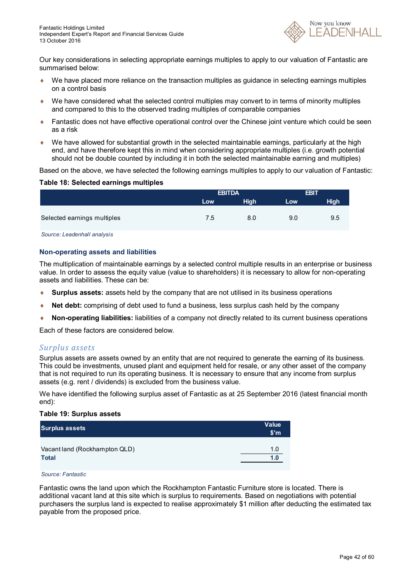

Our key considerations in selecting appropriate earnings multiples to apply to our valuation of Fantastic are summarised below:

- We have placed more reliance on the transaction multiples as guidance in selecting earnings multiples on a control basis
- We have considered what the selected control multiples may convert to in terms of minority multiples and compared to this to the observed trading multiples of comparable companies
- Fantastic does not have effective operational control over the Chinese joint venture which could be seen as a risk
- $\bullet$  We have allowed for substantial growth in the selected maintainable earnings, particularly at the high end, and have therefore kept this in mind when considering appropriate multiples (i.e. growth potential should not be double counted by including it in both the selected maintainable earning and multiples)

Based on the above, we have selected the following earnings multiples to apply to our valuation of Fantastic:

#### **Table 18: Selected earnings multiples**

|             | <b>EBIT</b> |             |
|-------------|-------------|-------------|
| <b>High</b> | Low         | <b>High</b> |
|             |             |             |
| 8.0         | 9.0         | 9.5         |
|             |             |             |

*Source: Leadenhall analysis*

#### **Non-operating assets and liabilities**

The multiplication of maintainable earnings by a selected control multiple results in an enterprise or business value. In order to assess the equity value (value to shareholders) it is necessary to allow for non-operating assets and liabilities. These can be:

- **Surplus assets:** assets held by the company that are not utilised in its business operations
- **Net debt:** comprising of debt used to fund a business, less surplus cash held by the company
- **Non-operating liabilities:** liabilities of a company not directly related to its current business operations

Each of these factors are considered below.

#### *Surplus assets*

Surplus assets are assets owned by an entity that are not required to generate the earning of its business. This could be investments, unused plant and equipment held for resale, or any other asset of the company that is not required to run its operating business. It is necessary to ensure that any income from surplus assets (e.g. rent / dividends) is excluded from the business value.

We have identified the following surplus asset of Fantastic as at 25 September 2016 (latest financial month end):

#### **Table 19: Surplus assets**

| Surplus assets                | <b>Value</b><br>$\mathsf{S}^{\mathsf{m}}$ |
|-------------------------------|-------------------------------------------|
| Vacant land (Rockhampton QLD) | 1.0                                       |
| <b>Total</b>                  | 1.0                                       |

*Source: Fantastic*

Fantastic owns the land upon which the Rockhampton Fantastic Furniture store is located. There is additional vacant land at this site which is surplus to requirements. Based on negotiations with potential purchasers the surplus land is expected to realise approximately \$1 million after deducting the estimated tax payable from the proposed price.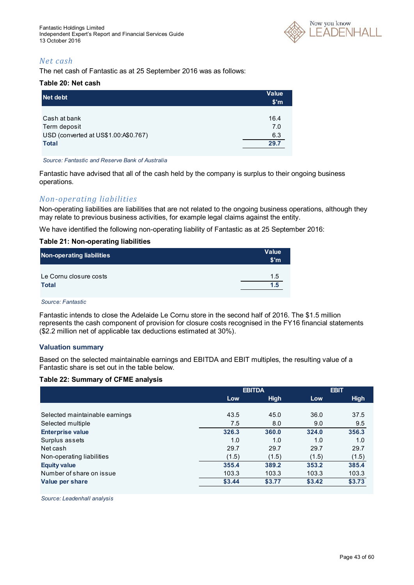

### *Net cash*

The net cash of Fantastic as at 25 September 2016 was as follows:

#### **Table 20: Net cash**

| Net debt                             | <b>Value</b><br>$\mathsf{S}'$ m |
|--------------------------------------|---------------------------------|
|                                      |                                 |
| Cash at bank                         | 16.4                            |
| Term deposit                         | 7.0                             |
| USD (converted at US\$1.00:A\$0.767) | 6.3                             |
| <b>Total</b>                         | 29.7                            |
|                                      |                                 |

*Source: Fantastic and Reserve Bank of Australia*

Fantastic have advised that all of the cash held by the company is surplus to their ongoing business operations.

### *Non-operating liabilities*

Non-operating liabilities are liabilities that are not related to the ongoing business operations, although they may relate to previous business activities, for example legal claims against the entity.

We have identified the following non-operating liability of Fantastic as at 25 September 2016:

#### **Table 21: Non-operating liabilities**

| Non-operating liabilities | <b>Value</b><br>\$ <sub>m</sub> |
|---------------------------|---------------------------------|
| Le Cornu closure costs    | 1.5                             |
| <b>Total</b>              | 1.5                             |

*Source: Fantastic*

Fantastic intends to close the Adelaide Le Cornu store in the second half of 2016. The \$1.5 million represents the cash component of provision for closure costs recognised in the FY16 financial statements (\$2.2 million net of applicable tax deductions estimated at 30%).

#### **Valuation summary**

Based on the selected maintainable earnings and EBITDA and EBIT multiples, the resulting value of a Fantastic share is set out in the table below.

#### **Table 22: Summary of CFME analysis**

|                                | <b>EBITDA</b> |             | <b>EBIT</b> |             |
|--------------------------------|---------------|-------------|-------------|-------------|
|                                | Low           | <b>High</b> | Low         | <b>High</b> |
|                                |               |             |             |             |
| Selected maintainable earnings | 43.5          | 45.0        | 36.0        | 37.5        |
| Selected multiple              | 7.5           | 8.0         | 9.0         | 9.5         |
| <b>Enterprise value</b>        | 326.3         | 360.0       | 324.0       | 356.3       |
| Surplus assets                 | 1.0           | 1.0         | 1.0         | 1.0         |
| Net cash                       | 29.7          | 29.7        | 29.7        | 29.7        |
| Non-operating liabilities      | (1.5)         | (1.5)       | (1.5)       | (1.5)       |
| <b>Equity value</b>            | 355.4         | 389.2       | 353.2       | 385.4       |
| Number of share on issue       | 103.3         | 103.3       | 103.3       | 103.3       |
| Value per share                | \$3.44        | \$3.77      | \$3.42      | \$3.73      |

*Source: Leadenhall analysis*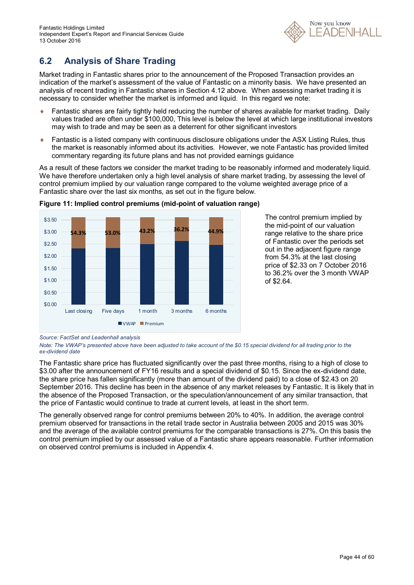

### **6.2 Analysis of Share Trading**

Market trading in Fantastic shares prior to the announcement of the Proposed Transaction provides an indication of the market's assessment of the value of Fantastic on a minority basis. We have presented an analysis of recent trading in Fantastic shares in Section 4.12 above. When assessing market trading it is necessary to consider whether the market is informed and liquid. In this regard we note:

- Fantastic shares are fairly tightly held reducing the number of shares available for market trading. Daily values traded are often under \$100,000, This level is below the level at which large institutional investors may wish to trade and may be seen as a deterrent for other significant investors
- Fantastic is a listed company with continuous disclosure obligations under the ASX Listing Rules, thus the market is reasonably informed about its activities. However, we note Fantastic has provided limited commentary regarding its future plans and has not provided earnings guidance

As a result of these factors we consider the market trading to be reasonably informed and moderately liquid. We have therefore undertaken only a high level analysis of share market trading, by assessing the level of control premium implied by our valuation range compared to the volume weighted average price of a Fantastic share over the last six months, as set out in the figure below.



**Figure 11: Implied control premiums (mid-point of valuation range)**

The control premium implied by the mid-point of our valuation range relative to the share price of Fantastic over the periods set out in the adjacent figure range from 54.3% at the last closing price of \$2.33 on 7 October 2016 to 36.2% over the 3 month VWAP of \$2.64.

The Fantastic share price has fluctuated significantly over the past three months, rising to a high of close to \$3.00 after the announcement of FY16 results and a special dividend of \$0.15. Since the ex-dividend date, the share price has fallen significantly (more than amount of the dividend paid) to a close of \$2.43 on 20 September 2016. This decline has been in the absence of any market releases by Fantastic. It is likely that in the absence of the Proposed Transaction, or the speculation/announcement of any similar transaction, that the price of Fantastic would continue to trade at current levels, at least in the short term.

The generally observed range for control premiums between 20% to 40%. In addition, the average control premium observed for transactions in the retail trade sector in Australia between 2005 and 2015 was 30% and the average of the available control premiums for the comparable transactions is 27%. On this basis the control premium implied by our assessed value of a Fantastic share appears reasonable. Further information on observed control premiums is included in Appendix 4.

*Source: FactSet and Leadenhall analysis*

*Note: The VWAP's presented above have been adjusted to take account of the \$0.15 special dividend for all trading prior to the ex-dividend date*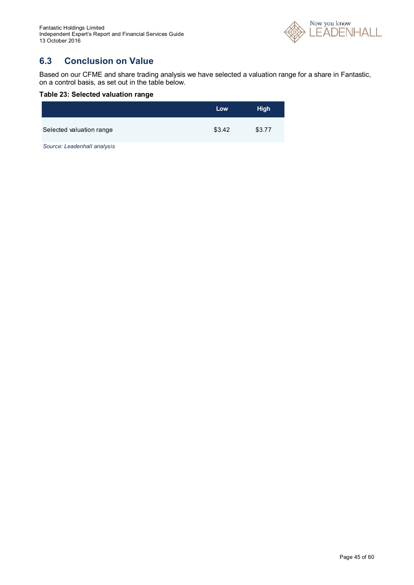

### **6.3 Conclusion on Value**

Based on our CFME and share trading analysis we have selected a valuation range for a share in Fantastic, on a control basis, as set out in the table below.

#### **Table 23: Selected valuation range**

|                          | Low    | <b>High</b> |
|--------------------------|--------|-------------|
| Selected valuation range | \$3.42 | \$3.77      |

*Source: Leadenhall analysis*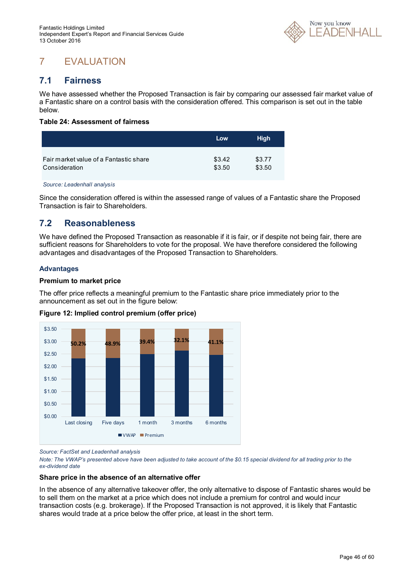

# 7 EVALUATION

### **7.1 Fairness**

We have assessed whether the Proposed Transaction is fair by comparing our assessed fair market value of a Fantastic share on a control basis with the consideration offered. This comparison is set out in the table below.

#### **Table 24: Assessment of fairness**

|                                        | Low    | <b>High</b> |
|----------------------------------------|--------|-------------|
| Fair market value of a Fantastic share | \$3.42 | \$3.77      |
| Consideration                          | \$3.50 | \$3.50      |

*Source: Leadenhall analysis*

Since the consideration offered is within the assessed range of values of a Fantastic share the Proposed Transaction is fair to Shareholders.

### **7.2 Reasonableness**

We have defined the Proposed Transaction as reasonable if it is fair, or if despite not being fair, there are sufficient reasons for Shareholders to vote for the proposal. We have therefore considered the following advantages and disadvantages of the Proposed Transaction to Shareholders.

#### **Advantages**

#### **Premium to market price**

The offer price reflects a meaningful premium to the Fantastic share price immediately prior to the announcement as set out in the figure below:



**Figure 12: Implied control premium (offer price)**

*Source: FactSet and Leadenhall analysis*

*Note: The VWAP's presented above have been adjusted to take account of the \$0.15 special dividend for all trading prior to the ex-dividend date*

#### **Share price in the absence of an alternative offer**

In the absence of any alternative takeover offer, the only alternative to dispose of Fantastic shares would be to sell them on the market at a price which does not include a premium for control and would incur transaction costs (e.g. brokerage). If the Proposed Transaction is not approved, it is likely that Fantastic shares would trade at a price below the offer price, at least in the short term.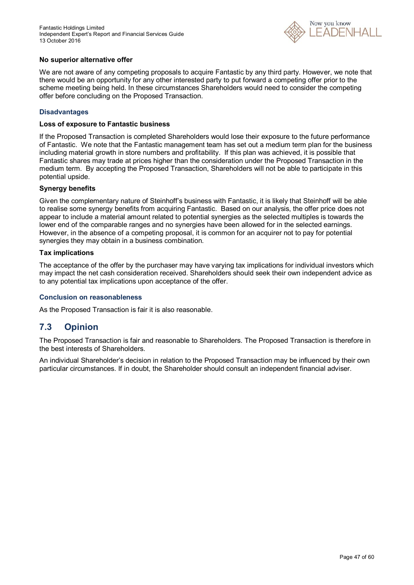

#### **No superior alternative offer**

We are not aware of any competing proposals to acquire Fantastic by any third party. However, we note that there would be an opportunity for any other interested party to put forward a competing offer prior to the scheme meeting being held. In these circumstances Shareholders would need to consider the competing offer before concluding on the Proposed Transaction.

#### **Disadvantages**

#### **Loss of exposure to Fantastic business**

If the Proposed Transaction is completed Shareholders would lose their exposure to the future performance of Fantastic. We note that the Fantastic management team has set out a medium term plan for the business including material growth in store numbers and profitability. If this plan was achieved, it is possible that Fantastic shares may trade at prices higher than the consideration under the Proposed Transaction in the medium term. By accepting the Proposed Transaction, Shareholders will not be able to participate in this potential upside.

#### **Synergy benefits**

Given the complementary nature of Steinhoff's business with Fantastic, it is likely that Steinhoff will be able to realise some synergy benefits from acquiring Fantastic. Based on our analysis, the offer price does not appear to include a material amount related to potential synergies as the selected multiples is towards the lower end of the comparable ranges and no synergies have been allowed for in the selected earnings. However, in the absence of a competing proposal, it is common for an acquirer not to pay for potential synergies they may obtain in a business combination.

#### **Tax implications**

The acceptance of the offer by the purchaser may have varying tax implications for individual investors which may impact the net cash consideration received. Shareholders should seek their own independent advice as to any potential tax implications upon acceptance of the offer.

#### **Conclusion on reasonableness**

As the Proposed Transaction is fair it is also reasonable.

### **7.3 Opinion**

The Proposed Transaction is fair and reasonable to Shareholders. The Proposed Transaction is therefore in the best interests of Shareholders.

An individual Shareholder's decision in relation to the Proposed Transaction may be influenced by their own particular circumstances. If in doubt, the Shareholder should consult an independent financial adviser.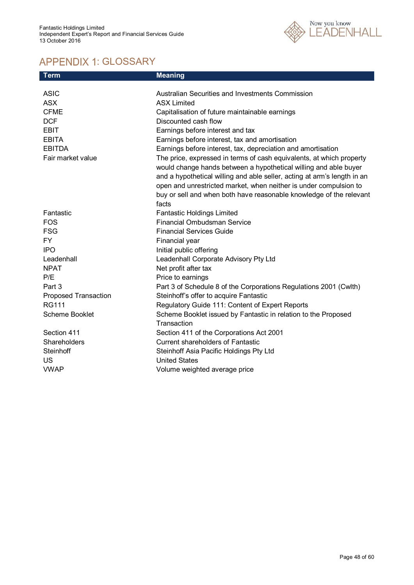

# APPENDIX 1: GLOSSARY

| <b>Term</b>          | <b>Meaning</b>                                                           |
|----------------------|--------------------------------------------------------------------------|
|                      |                                                                          |
| <b>ASIC</b>          | Australian Securities and Investments Commission                         |
| <b>ASX</b>           | <b>ASX Limited</b>                                                       |
| <b>CFME</b>          | Capitalisation of future maintainable earnings                           |
| <b>DCF</b>           | Discounted cash flow                                                     |
| <b>EBIT</b>          | Earnings before interest and tax                                         |
| <b>EBITA</b>         | Earnings before interest, tax and amortisation                           |
| <b>EBITDA</b>        | Earnings before interest, tax, depreciation and amortisation             |
| Fair market value    | The price, expressed in terms of cash equivalents, at which property     |
|                      | would change hands between a hypothetical willing and able buyer         |
|                      | and a hypothetical willing and able seller, acting at arm's length in an |
|                      | open and unrestricted market, when neither is under compulsion to        |
|                      | buy or sell and when both have reasonable knowledge of the relevant      |
|                      | facts                                                                    |
| Fantastic            | <b>Fantastic Holdings Limited</b>                                        |
| <b>FOS</b>           | <b>Financial Ombudsman Service</b>                                       |
| <b>FSG</b>           | <b>Financial Services Guide</b>                                          |
| FY.                  | Financial year                                                           |
| <b>IPO</b>           | Initial public offering                                                  |
| Leadenhall           | Leadenhall Corporate Advisory Pty Ltd                                    |
| <b>NPAT</b>          | Net profit after tax                                                     |
| P/E                  | Price to earnings                                                        |
| Part 3               | Part 3 of Schedule 8 of the Corporations Regulations 2001 (Cwlth)        |
| Proposed Transaction | Steinhoff's offer to acquire Fantastic                                   |
| <b>RG111</b>         | Regulatory Guide 111: Content of Expert Reports                          |
| Scheme Booklet       | Scheme Booklet issued by Fantastic in relation to the Proposed           |
|                      | Transaction                                                              |
| Section 411          | Section 411 of the Corporations Act 2001                                 |
| Shareholders         | <b>Current shareholders of Fantastic</b>                                 |
| Steinhoff            | Steinhoff Asia Pacific Holdings Pty Ltd                                  |
| <b>US</b>            | <b>United States</b>                                                     |
| <b>VWAP</b>          | Volume weighted average price                                            |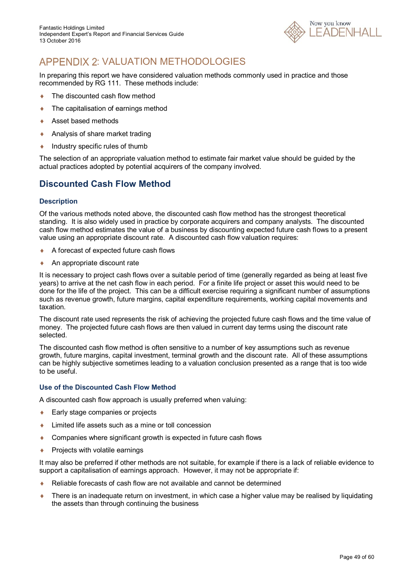

# APPENDIX 2: VALUATION METHODOLOGIES

In preparing this report we have considered valuation methods commonly used in practice and those recommended by RG 111. These methods include:

- ◆ The discounted cash flow method
- The capitalisation of earnings method
- ◆ Asset based methods
- Analysis of share market trading
- $\bullet$  Industry specific rules of thumb

The selection of an appropriate valuation method to estimate fair market value should be guided by the actual practices adopted by potential acquirers of the company involved.

### **Discounted Cash Flow Method**

#### **Description**

Of the various methods noted above, the discounted cash flow method has the strongest theoretical standing. It is also widely used in practice by corporate acquirers and company analysts. The discounted cash flow method estimates the value of a business by discounting expected future cash flows to a present value using an appropriate discount rate. A discounted cash flow valuation requires:

- A forecast of expected future cash flows
- ◆ An appropriate discount rate

It is necessary to project cash flows over a suitable period of time (generally regarded as being at least five years) to arrive at the net cash flow in each period. For a finite life project or asset this would need to be done for the life of the project. This can be a difficult exercise requiring a significant number of assumptions such as revenue growth, future margins, capital expenditure requirements, working capital movements and taxation.

The discount rate used represents the risk of achieving the projected future cash flows and the time value of money. The projected future cash flows are then valued in current day terms using the discount rate selected.

The discounted cash flow method is often sensitive to a number of key assumptions such as revenue growth, future margins, capital investment, terminal growth and the discount rate. All of these assumptions can be highly subjective sometimes leading to a valuation conclusion presented as a range that is too wide to be useful.

#### **Use of the Discounted Cash Flow Method**

A discounted cash flow approach is usually preferred when valuing:

- ◆ Early stage companies or projects
- ◆ Limited life assets such as a mine or toll concession
- ◆ Companies where significant growth is expected in future cash flows
- $\leftarrow$  Projects with volatile earnings

It may also be preferred if other methods are not suitable, for example if there is a lack of reliable evidence to support a capitalisation of earnings approach. However, it may not be appropriate if:

- Reliable forecasts of cash flow are not available and cannot be determined
- ◆ There is an inadequate return on investment, in which case a higher value may be realised by liquidating the assets than through continuing the business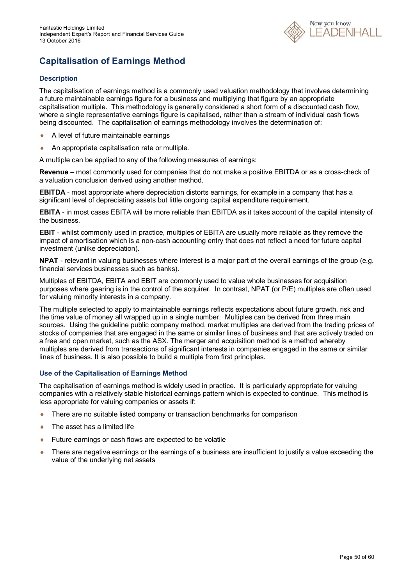

# **Capitalisation of Earnings Method**

#### **Description**

The capitalisation of earnings method is a commonly used valuation methodology that involves determining a future maintainable earnings figure for a business and multiplying that figure by an appropriate capitalisation multiple. This methodology is generally considered a short form of a discounted cash flow, where a single representative earnings figure is capitalised, rather than a stream of individual cash flows being discounted. The capitalisation of earnings methodology involves the determination of:

- A level of future maintainable earnings
- An appropriate capitalisation rate or multiple.

A multiple can be applied to any of the following measures of earnings:

**Revenue** – most commonly used for companies that do not make a positive EBITDA or as a cross-check of a valuation conclusion derived using another method.

**EBITDA** - most appropriate where depreciation distorts earnings, for example in a company that has a significant level of depreciating assets but little ongoing capital expenditure requirement.

**EBITA** - in most cases EBITA will be more reliable than EBITDA as it takes account of the capital intensity of the business.

**EBIT** - whilst commonly used in practice, multiples of EBITA are usually more reliable as they remove the impact of amortisation which is a non-cash accounting entry that does not reflect a need for future capital investment (unlike depreciation).

**NPAT** - relevant in valuing businesses where interest is a major part of the overall earnings of the group (e.g. financial services businesses such as banks).

Multiples of EBITDA, EBITA and EBIT are commonly used to value whole businesses for acquisition purposes where gearing is in the control of the acquirer. In contrast, NPAT (or P/E) multiples are often used for valuing minority interests in a company.

The multiple selected to apply to maintainable earnings reflects expectations about future growth, risk and the time value of money all wrapped up in a single number. Multiples can be derived from three main sources. Using the guideline public company method, market multiples are derived from the trading prices of stocks of companies that are engaged in the same or similar lines of business and that are actively traded on a free and open market, such as the ASX. The merger and acquisition method is a method whereby multiples are derived from transactions of significant interests in companies engaged in the same or similar lines of business. It is also possible to build a multiple from first principles.

#### **Use of the Capitalisation of Earnings Method**

The capitalisation of earnings method is widely used in practice. It is particularly appropriate for valuing companies with a relatively stable historical earnings pattern which is expected to continue. This method is less appropriate for valuing companies or assets if:

- There are no suitable listed company or transaction benchmarks for comparison
- The asset has a limited life
- Future earnings or cash flows are expected to be volatile
- There are negative earnings or the earnings of a business are insufficient to justify a value exceeding the value of the underlying net assets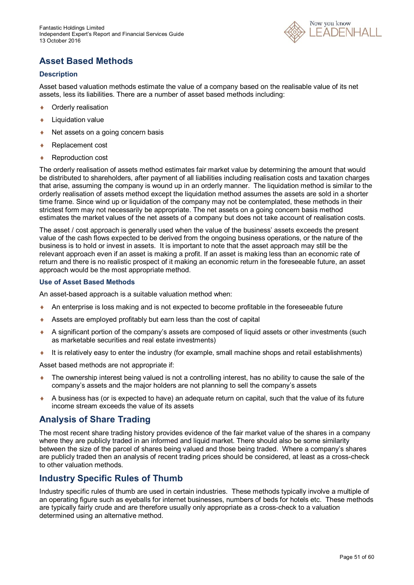

### **Asset Based Methods**

#### **Description**

Asset based valuation methods estimate the value of a company based on the realisable value of its net assets, less its liabilities. There are a number of asset based methods including:

- ◆ Orderly realisation
- **+** Liquidation value
- ◆ Net assets on a going concern basis
- ◆ Replacement cost
- ◆ Reproduction cost

The orderly realisation of assets method estimates fair market value by determining the amount that would be distributed to shareholders, after payment of all liabilities including realisation costs and taxation charges that arise, assuming the company is wound up in an orderly manner. The liquidation method is similar to the orderly realisation of assets method except the liquidation method assumes the assets are sold in a shorter time frame. Since wind up or liquidation of the company may not be contemplated, these methods in their strictest form may not necessarily be appropriate. The net assets on a going concern basis method estimates the market values of the net assets of a company but does not take account of realisation costs.

The asset / cost approach is generally used when the value of the business' assets exceeds the present value of the cash flows expected to be derived from the ongoing business operations, or the nature of the business is to hold or invest in assets. It is important to note that the asset approach may still be the relevant approach even if an asset is making a profit. If an asset is making less than an economic rate of return and there is no realistic prospect of it making an economic return in the foreseeable future, an asset approach would be the most appropriate method.

#### **Use of Asset Based Methods**

An asset-based approach is a suitable valuation method when:

- An enterprise is loss making and is not expected to become profitable in the foreseeable future
- Assets are employed profitably but earn less than the cost of capital
- A significant portion of the company's assets are composed of liquid assets or other investments (such as marketable securities and real estate investments)
- It is relatively easy to enter the industry (for example, small machine shops and retail establishments)

Asset based methods are not appropriate if:

- The ownership interest being valued is not a controlling interest, has no ability to cause the sale of the company's assets and the major holders are not planning to sell the company's assets
- A business has (or is expected to have) an adequate return on capital, such that the value of its future income stream exceeds the value of its assets

### **Analysis of Share Trading**

The most recent share trading history provides evidence of the fair market value of the shares in a company where they are publicly traded in an informed and liquid market. There should also be some similarity between the size of the parcel of shares being valued and those being traded. Where a company's shares are publicly traded then an analysis of recent trading prices should be considered, at least as a cross-check to other valuation methods.

### **Industry Specific Rules of Thumb**

Industry specific rules of thumb are used in certain industries. These methods typically involve a multiple of an operating figure such as eyeballs for internet businesses, numbers of beds for hotels etc. These methods are typically fairly crude and are therefore usually only appropriate as a cross-check to a valuation determined using an alternative method.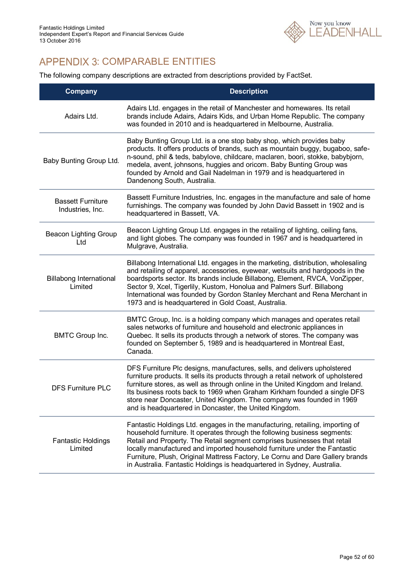

# APPENDIX 3: COMPARABLE ENTITIES

The following company descriptions are extracted from descriptions provided by FactSet.

| <b>Company</b>                               | <b>Description</b>                                                                                                                                                                                                                                                                                                                                                                                                                                                              |
|----------------------------------------------|---------------------------------------------------------------------------------------------------------------------------------------------------------------------------------------------------------------------------------------------------------------------------------------------------------------------------------------------------------------------------------------------------------------------------------------------------------------------------------|
| Adairs Ltd.                                  | Adairs Ltd. engages in the retail of Manchester and homewares. Its retail<br>brands include Adairs, Adairs Kids, and Urban Home Republic. The company<br>was founded in 2010 and is headquartered in Melbourne, Australia.                                                                                                                                                                                                                                                      |
| Baby Bunting Group Ltd.                      | Baby Bunting Group Ltd. is a one stop baby shop, which provides baby<br>products. It offers products of brands, such as mountain buggy, bugaboo, safe-<br>n-sound, phil & teds, babylove, childcare, maclaren, boori, stokke, babybjorn,<br>medela, avent, johnsons, huggies and oricom. Baby Bunting Group was<br>founded by Arnold and Gail Nadelman in 1979 and is headquartered in<br>Dandenong South, Australia.                                                           |
| <b>Bassett Furniture</b><br>Industries, Inc. | Bassett Furniture Industries, Inc. engages in the manufacture and sale of home<br>furnishings. The company was founded by John David Bassett in 1902 and is<br>headquartered in Bassett, VA.                                                                                                                                                                                                                                                                                    |
| <b>Beacon Lighting Group</b><br>Ltd          | Beacon Lighting Group Ltd. engages in the retailing of lighting, ceiling fans,<br>and light globes. The company was founded in 1967 and is headquartered in<br>Mulgrave, Australia.                                                                                                                                                                                                                                                                                             |
| <b>Billabong International</b><br>Limited    | Billabong International Ltd. engages in the marketing, distribution, wholesaling<br>and retailing of apparel, accessories, eyewear, wetsuits and hardgoods in the<br>boardsports sector. Its brands include Billabong, Element, RVCA, VonZipper,<br>Sector 9, Xcel, Tigerlily, Kustom, Honolua and Palmers Surf. Billabong<br>International was founded by Gordon Stanley Merchant and Rena Merchant in<br>1973 and is headquartered in Gold Coast, Australia.                  |
| <b>BMTC Group Inc.</b>                       | BMTC Group, Inc. is a holding company which manages and operates retail<br>sales networks of furniture and household and electronic appliances in<br>Quebec. It sells its products through a network of stores. The company was<br>founded on September 5, 1989 and is headquartered in Montreal East,<br>Canada.                                                                                                                                                               |
| <b>DFS Furniture PLC</b>                     | DFS Furniture Plc designs, manufactures, sells, and delivers upholstered<br>furniture products. It sells its products through a retail network of upholstered<br>furniture stores, as well as through online in the United Kingdom and Ireland.<br>Its business roots back to 1969 when Graham Kirkham founded a single DFS<br>store near Doncaster, United Kingdom. The company was founded in 1969<br>and is headquartered in Doncaster, the United Kingdom.                  |
| <b>Fantastic Holdings</b><br>Limited         | Fantastic Holdings Ltd. engages in the manufacturing, retailing, importing of<br>household furniture. It operates through the following business segments:<br>Retail and Property. The Retail segment comprises businesses that retail<br>locally manufactured and imported household furniture under the Fantastic<br>Furniture, Plush, Original Mattress Factory, Le Cornu and Dare Gallery brands<br>in Australia. Fantastic Holdings is headquartered in Sydney, Australia. |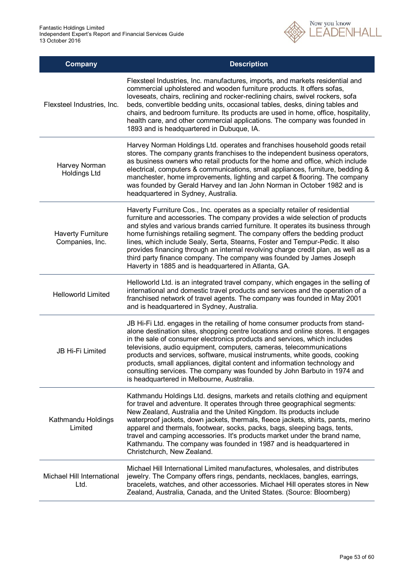

| <b>Company</b>                              | <b>Description</b>                                                                                                                                                                                                                                                                                                                                                                                                                                                                                                                                                                                                                   |
|---------------------------------------------|--------------------------------------------------------------------------------------------------------------------------------------------------------------------------------------------------------------------------------------------------------------------------------------------------------------------------------------------------------------------------------------------------------------------------------------------------------------------------------------------------------------------------------------------------------------------------------------------------------------------------------------|
| Flexsteel Industries, Inc.                  | Flexsteel Industries, Inc. manufactures, imports, and markets residential and<br>commercial upholstered and wooden furniture products. It offers sofas,<br>loveseats, chairs, reclining and rocker-reclining chairs, swivel rockers, sofa<br>beds, convertible bedding units, occasional tables, desks, dining tables and<br>chairs, and bedroom furniture. Its products are used in home, office, hospitality,<br>health care, and other commercial applications. The company was founded in<br>1893 and is headquartered in Dubuque, IA.                                                                                           |
| Harvey Norman<br><b>Holdings Ltd</b>        | Harvey Norman Holdings Ltd. operates and franchises household goods retail<br>stores. The company grants franchises to the independent business operators,<br>as business owners who retail products for the home and office, which include<br>electrical, computers & communications, small appliances, furniture, bedding &<br>manchester, home improvements, lighting and carpet & flooring. The company<br>was founded by Gerald Harvey and Ian John Norman in October 1982 and is<br>headquartered in Sydney, Australia.                                                                                                        |
| <b>Haverty Furniture</b><br>Companies, Inc. | Haverty Furniture Cos., Inc. operates as a specialty retailer of residential<br>furniture and accessories. The company provides a wide selection of products<br>and styles and various brands carried furniture. It operates its business through<br>home furnishings retailing segment. The company offers the bedding product<br>lines, which include Sealy, Serta, Stearns, Foster and Tempur-Pedic. It also<br>provides financing through an internal revolving charge credit plan, as well as a<br>third party finance company. The company was founded by James Joseph<br>Haverty in 1885 and is headquartered in Atlanta, GA. |
| <b>Helloworld Limited</b>                   | Helloworld Ltd. is an integrated travel company, which engages in the selling of<br>international and domestic travel products and services and the operation of a<br>franchised network of travel agents. The company was founded in May 2001<br>and is headquartered in Sydney, Australia.                                                                                                                                                                                                                                                                                                                                         |
| JB Hi-Fi Limited                            | JB Hi-Fi Ltd. engages in the retailing of home consumer products from stand-<br>alone destination sites, shopping centre locations and online stores. It engages<br>in the sale of consumer electronics products and services, which includes<br>televisions, audio equipment, computers, cameras, telecommunications<br>products and services, software, musical instruments, white goods, cooking<br>products, small appliances, digital content and information technology and<br>consulting services. The company was founded by John Barbuto in 1974 and<br>is headquartered in Melbourne, Australia.                           |
| Kathmandu Holdings<br>Limited               | Kathmandu Holdings Ltd. designs, markets and retails clothing and equipment<br>for travel and adventure. It operates through three geographical segments:<br>New Zealand, Australia and the United Kingdom. Its products include<br>waterproof jackets, down jackets, thermals, fleece jackets, shirts, pants, merino<br>apparel and thermals, footwear, socks, packs, bags, sleeping bags, tents,<br>travel and camping accessories. It's products market under the brand name,<br>Kathmandu. The company was founded in 1987 and is headquartered in<br>Christchurch, New Zealand.                                                 |
| Michael Hill International<br>Ltd.          | Michael Hill International Limited manufactures, wholesales, and distributes<br>jewelry. The Company offers rings, pendants, necklaces, bangles, earrings,<br>bracelets, watches, and other accessories. Michael Hill operates stores in New<br>Zealand, Australia, Canada, and the United States. (Source: Bloomberg)                                                                                                                                                                                                                                                                                                               |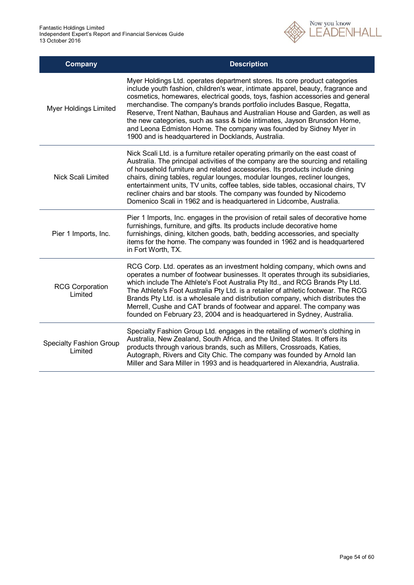

| Company                                   | <b>Description</b>                                                                                                                                                                                                                                                                                                                                                                                                                                                                                                                                                                                            |
|-------------------------------------------|---------------------------------------------------------------------------------------------------------------------------------------------------------------------------------------------------------------------------------------------------------------------------------------------------------------------------------------------------------------------------------------------------------------------------------------------------------------------------------------------------------------------------------------------------------------------------------------------------------------|
| <b>Myer Holdings Limited</b>              | Myer Holdings Ltd. operates department stores. Its core product categories<br>include youth fashion, children's wear, intimate apparel, beauty, fragrance and<br>cosmetics, homewares, electrical goods, toys, fashion accessories and general<br>merchandise. The company's brands portfolio includes Basque, Regatta,<br>Reserve, Trent Nathan, Bauhaus and Australian House and Garden, as well as<br>the new categories, such as sass & bide intimates, Jayson Brunsdon Home,<br>and Leona Edmiston Home. The company was founded by Sidney Myer in<br>1900 and is headquartered in Docklands, Australia. |
| Nick Scali Limited                        | Nick Scali Ltd. is a furniture retailer operating primarily on the east coast of<br>Australia. The principal activities of the company are the sourcing and retailing<br>of household furniture and related accessories. Its products include dining<br>chairs, dining tables, regular lounges, modular lounges, recliner lounges,<br>entertainment units, TV units, coffee tables, side tables, occasional chairs, TV<br>recliner chairs and bar stools. The company was founded by Nicodemo<br>Domenico Scali in 1962 and is headquartered in Lidcombe, Australia.                                          |
| Pier 1 Imports, Inc.                      | Pier 1 Imports, Inc. engages in the provision of retail sales of decorative home<br>furnishings, furniture, and gifts. Its products include decorative home<br>furnishings, dining, kitchen goods, bath, bedding accessories, and specialty<br>items for the home. The company was founded in 1962 and is headquartered<br>in Fort Worth, TX.                                                                                                                                                                                                                                                                 |
| <b>RCG Corporation</b><br>Limited         | RCG Corp. Ltd. operates as an investment holding company, which owns and<br>operates a number of footwear businesses. It operates through its subsidiaries,<br>which include The Athlete's Foot Australia Pty Itd., and RCG Brands Pty Ltd.<br>The Athlete's Foot Australia Pty Ltd. is a retailer of athletic footwear. The RCG<br>Brands Pty Ltd. is a wholesale and distribution company, which distributes the<br>Merrell, Cushe and CAT brands of footwear and apparel. The company was<br>founded on February 23, 2004 and is headquartered in Sydney, Australia.                                       |
| <b>Specialty Fashion Group</b><br>Limited | Specialty Fashion Group Ltd. engages in the retailing of women's clothing in<br>Australia, New Zealand, South Africa, and the United States. It offers its<br>products through various brands, such as Millers, Crossroads, Katies,<br>Autograph, Rivers and City Chic. The company was founded by Arnold lan<br>Miller and Sara Miller in 1993 and is headquartered in Alexandria, Australia.                                                                                                                                                                                                                |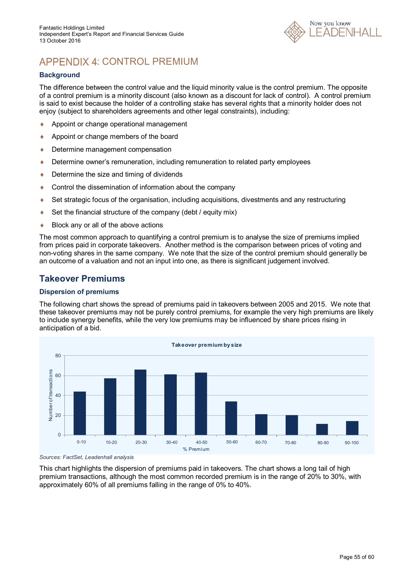

# APPENDIX 4: CONTROL PREMIUM

#### **Background**

The difference between the control value and the liquid minority value is the control premium. The opposite of a control premium is a minority discount (also known as a discount for lack of control). A control premium is said to exist because the holder of a controlling stake has several rights that a minority holder does not enjoy (subject to shareholders agreements and other legal constraints), including:

- ◆ Appoint or change operational management
- Appoint or change members of the board
- Determine management compensation
- Determine owner's remuneration, including remuneration to related party employees
- ◆ Determine the size and timing of dividends
- ♦ Control the dissemination of information about the company
- Set strategic focus of the organisation, including acquisitions, divestments and any restructuring
- Set the financial structure of the company (debt / equity mix)
- ◆ Block any or all of the above actions

The most common approach to quantifying a control premium is to analyse the size of premiums implied from prices paid in corporate takeovers. Another method is the comparison between prices of voting and non-voting shares in the same company. We note that the size of the control premium should generally be an outcome of a valuation and not an input into one, as there is significant judgement involved.

### **Takeover Premiums**

#### **Dispersion of premiums**

The following chart shows the spread of premiums paid in takeovers between 2005 and 2015. We note that these takeover premiums may not be purely control premiums, for example the very high premiums are likely to include synergy benefits, while the very low premiums may be influenced by share prices rising in anticipation of a bid.





This chart highlights the dispersion of premiums paid in takeovers. The chart shows a long tail of high premium transactions, although the most common recorded premium is in the range of 20% to 30%, with approximately 60% of all premiums falling in the range of 0% to 40%.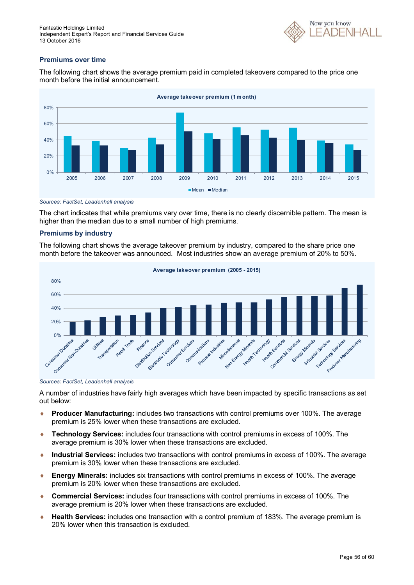

#### **Premiums over time**

The following chart shows the average premium paid in completed takeovers compared to the price one month before the initial announcement.



*Sources: FactSet, Leadenhall analysis*

The chart indicates that while premiums vary over time, there is no clearly discernible pattern. The mean is higher than the median due to a small number of high premiums.

#### **Premiums by industry**

The following chart shows the average takeover premium by industry, compared to the share price one month before the takeover was announced. Most industries show an average premium of 20% to 50%.





A number of industries have fairly high averages which have been impacted by specific transactions as set out below:

- **Producer Manufacturing:** includes two transactions with control premiums over 100%. The average premium is 25% lower when these transactions are excluded.
- **Technology Services:** includes four transactions with control premiums in excess of 100%. The average premium is 30% lower when these transactions are excluded.
- **Industrial Services:** includes two transactions with control premiums in excess of 100%. The average premium is 30% lower when these transactions are excluded.
- **Energy Minerals:** includes six transactions with control premiums in excess of 100%. The average premium is 20% lower when these transactions are excluded.
- **Commercial Services:** includes four transactions with control premiums in excess of 100%. The average premium is 20% lower when these transactions are excluded.
- **Health Services:** includes one transaction with a control premium of 183%. The average premium is 20% lower when this transaction is excluded.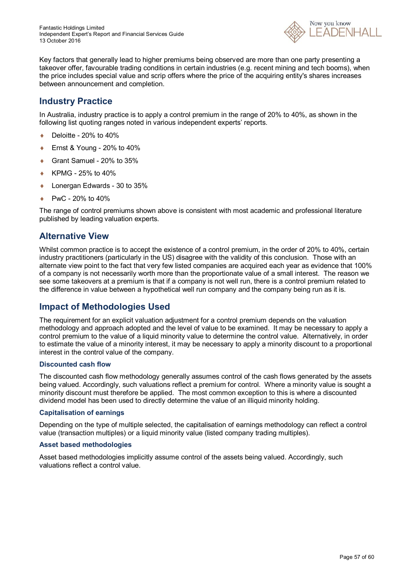

Key factors that generally lead to higher premiums being observed are more than one party presenting a takeover offer, favourable trading conditions in certain industries (e.g. recent mining and tech booms), when the price includes special value and scrip offers where the price of the acquiring entity's shares increases between announcement and completion.

### **Industry Practice**

In Australia, industry practice is to apply a control premium in the range of 20% to 40%, as shown in the following list quoting ranges noted in various independent experts' reports.

- $\bullet$  Deloitte 20% to 40%
- Ernst & Young 20% to 40%
- Grant Samuel 20% to 35%
- KPMG 25% to 40%
- ◆ Lonergan Edwards 30 to 35%
- PwC 20% to 40%

The range of control premiums shown above is consistent with most academic and professional literature published by leading valuation experts.

### **Alternative View**

Whilst common practice is to accept the existence of a control premium, in the order of 20% to 40%, certain industry practitioners (particularly in the US) disagree with the validity of this conclusion. Those with an alternate view point to the fact that very few listed companies are acquired each year as evidence that 100% of a company is not necessarily worth more than the proportionate value of a small interest. The reason we see some takeovers at a premium is that if a company is not well run, there is a control premium related to the difference in value between a hypothetical well run company and the company being run as it is.

### **Impact of Methodologies Used**

The requirement for an explicit valuation adjustment for a control premium depends on the valuation methodology and approach adopted and the level of value to be examined. It may be necessary to apply a control premium to the value of a liquid minority value to determine the control value. Alternatively, in order to estimate the value of a minority interest, it may be necessary to apply a minority discount to a proportional interest in the control value of the company.

#### **Discounted cash flow**

The discounted cash flow methodology generally assumes control of the cash flows generated by the assets being valued. Accordingly, such valuations reflect a premium for control. Where a minority value is sought a minority discount must therefore be applied. The most common exception to this is where a discounted dividend model has been used to directly determine the value of an illiquid minority holding.

#### **Capitalisation of earnings**

Depending on the type of multiple selected, the capitalisation of earnings methodology can reflect a control value (transaction multiples) or a liquid minority value (listed company trading multiples).

#### **Asset based methodologies**

Asset based methodologies implicitly assume control of the assets being valued. Accordingly, such valuations reflect a control value.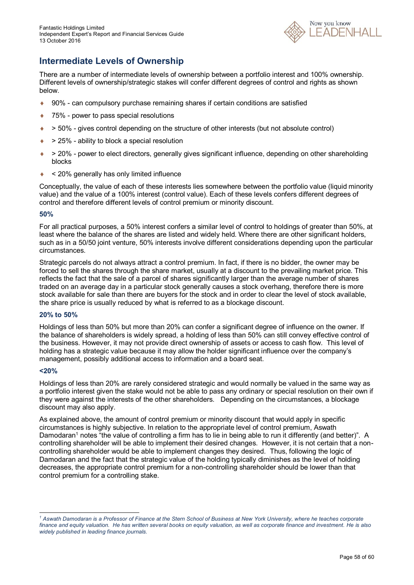

### **Intermediate Levels of Ownership**

There are a number of intermediate levels of ownership between a portfolio interest and 100% ownership. Different levels of ownership/strategic stakes will confer different degrees of control and rights as shown below.

- 90% can compulsory purchase remaining shares if certain conditions are satisfied
- ◆ 75% power to pass special resolutions
- $\rightarrow$   $>$  50% gives control depending on the structure of other interests (but not absolute control)
- $\rightarrow$  25% ability to block a special resolution
- > 20% power to elect directors, generally gives significant influence, depending on other shareholding blocks
- < 20% generally has only limited influence

Conceptually, the value of each of these interests lies somewhere between the portfolio value (liquid minority value) and the value of a 100% interest (control value). Each of these levels confers different degrees of control and therefore different levels of control premium or minority discount.

#### **50%**

For all practical purposes, a 50% interest confers a similar level of control to holdings of greater than 50%, at least where the balance of the shares are listed and widely held. Where there are other significant holders, such as in a 50/50 joint venture, 50% interests involve different considerations depending upon the particular circumstances.

Strategic parcels do not always attract a control premium. In fact, if there is no bidder, the owner may be forced to sell the shares through the share market, usually at a discount to the prevailing market price. This reflects the fact that the sale of a parcel of shares significantly larger than the average number of shares traded on an average day in a particular stock generally causes a stock overhang, therefore there is more stock available for sale than there are buyers for the stock and in order to clear the level of stock available, the share price is usually reduced by what is referred to as a blockage discount.

#### **20% to 50%**

Holdings of less than 50% but more than 20% can confer a significant degree of influence on the owner. If the balance of shareholders is widely spread, a holding of less than 50% can still convey effective control of the business. However, it may not provide direct ownership of assets or access to cash flow. This level of holding has a strategic value because it may allow the holder significant influence over the company's management, possibly additional access to information and a board seat.

#### **<20%**

1

Holdings of less than 20% are rarely considered strategic and would normally be valued in the same way as a portfolio interest given the stake would not be able to pass any ordinary or special resolution on their own if they were against the interests of the other shareholders. Depending on the circumstances, a blockage discount may also apply.

As explained above, the amount of control premium or minority discount that would apply in specific circumstances is highly subjective. In relation to the appropriate level of control premium, Aswath Damodaran<sup>1</sup> notes "the value of controlling a firm has to lie in being able to run it differently (and better)". A controlling shareholder will be able to implement their desired changes. However, it is not certain that a noncontrolling shareholder would be able to implement changes they desired. Thus, following the logic of Damodaran and the fact that the strategic value of the holding typically diminishes as the level of holding decreases, the appropriate control premium for a non-controlling shareholder should be lower than that control premium for a controlling stake.

*<sup>1</sup> Aswath Damodaran is a Professor of Finance at the Stern School of Business at New York University, where he teaches corporate finance and equity valuation. He has written several books on equity valuation, as well as corporate finance and investment. He is also widely published in leading finance journals.*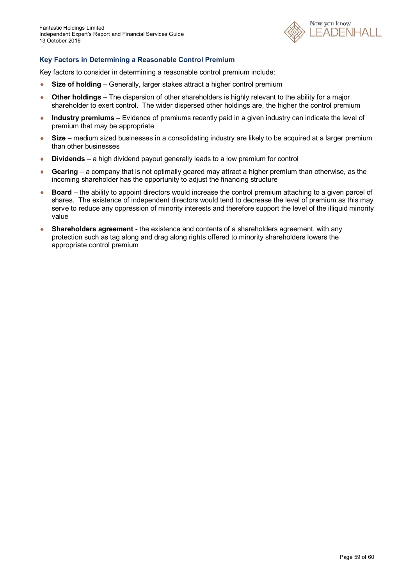

#### **Key Factors in Determining a Reasonable Control Premium**

Key factors to consider in determining a reasonable control premium include:

- ◆ Size of holding Generally, larger stakes attract a higher control premium
- **Other holdings** The dispersion of other shareholders is highly relevant to the ability for a major shareholder to exert control. The wider dispersed other holdings are, the higher the control premium
- **Industry premiums** Evidence of premiums recently paid in a given industry can indicate the level of premium that may be appropriate
- **Size** medium sized businesses in a consolidating industry are likely to be acquired at a larger premium than other businesses
- **Dividends** a high dividend payout generally leads to a low premium for control
- **Gearing** a company that is not optimally geared may attract a higher premium than otherwise, as the incoming shareholder has the opportunity to adjust the financing structure
- ◆ **Board** the ability to appoint directors would increase the control premium attaching to a given parcel of shares. The existence of independent directors would tend to decrease the level of premium as this may serve to reduce any oppression of minority interests and therefore support the level of the illiquid minority value
- **Shareholders agreement** the existence and contents of a shareholders agreement, with any protection such as tag along and drag along rights offered to minority shareholders lowers the appropriate control premium